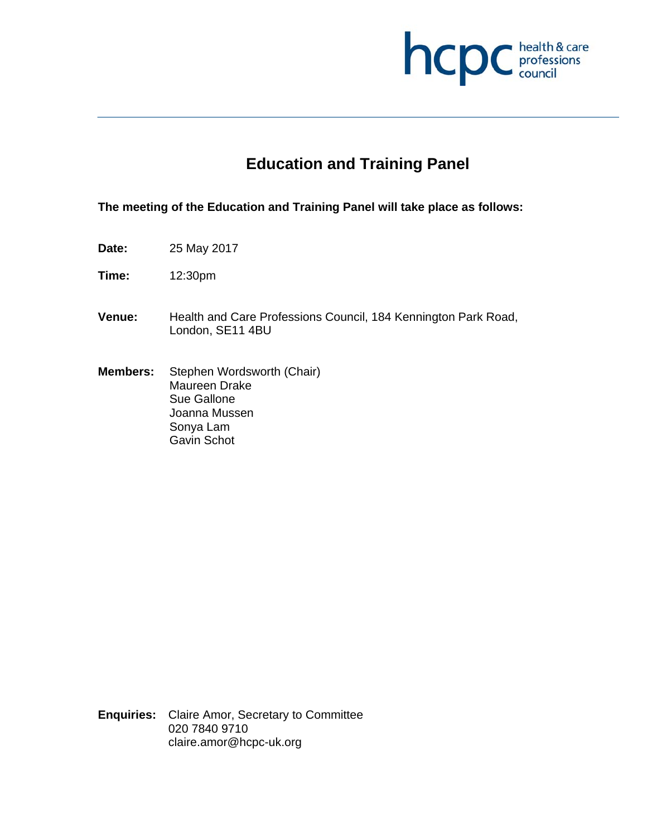

# **Education and Training Panel**

**The meeting of the Education and Training Panel will take place as follows:** 

- **Date:** 25 May 2017
- **Time:** 12:30pm
- **Venue:** Health and Care Professions Council, 184 Kennington Park Road, London, SE11 4BU
- **Members:** Stephen Wordsworth (Chair) Maureen Drake Sue Gallone Joanna Mussen Sonya Lam Gavin Schot

**Enquiries:** Claire Amor, Secretary to Committee 020 7840 9710 claire.amor@hcpc-uk.org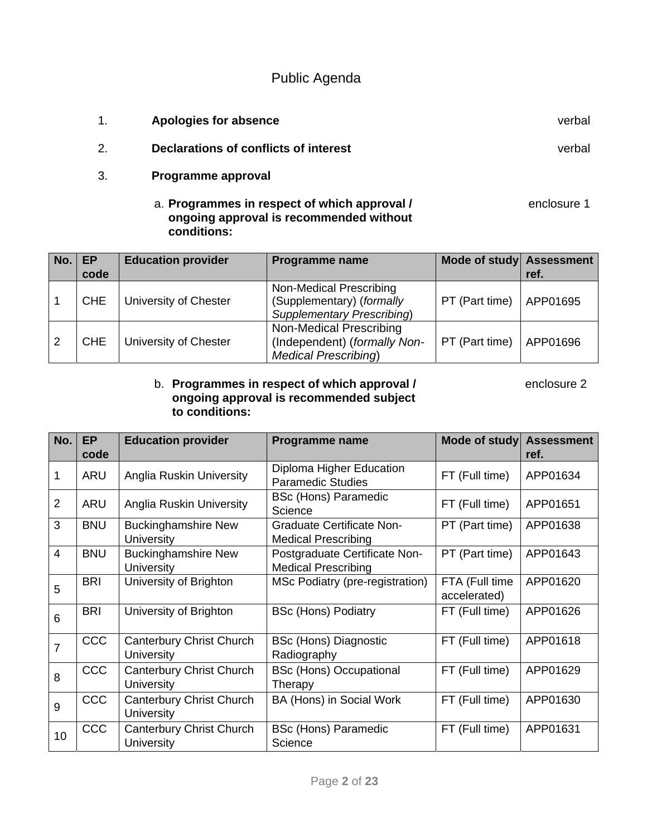## Public Agenda

1. **Apologies for absence** verbal 2. **Declarations of conflicts of interest** verbal 3. **Programme approval**  a. **Programmes in respect of which approval /** enclosure 1 **ongoing approval is recommended without conditions:** 

| No. | EP<br>code | <b>Education provider</b> | <b>Programme name</b>                                                                     | Mode of study Assessment | ref.     |
|-----|------------|---------------------------|-------------------------------------------------------------------------------------------|--------------------------|----------|
|     | <b>CHE</b> | University of Chester     | Non-Medical Prescribing<br>(Supplementary) (formally<br><b>Supplementary Prescribing)</b> | PT (Part time)           | APP01695 |
|     | <b>CHE</b> | University of Chester     | Non-Medical Prescribing<br>(Independent) (formally Non-<br><b>Medical Prescribing)</b>    | PT (Part time)           | APP01696 |

#### b. **Programmes in respect of which approval /** enclosure 2 **ongoing approval is recommended subject to conditions:**

| No.            | <b>EP</b><br>code | <b>Education provider</b>                            | Programme name                                                 | Mode of study Assessment       | ref.     |
|----------------|-------------------|------------------------------------------------------|----------------------------------------------------------------|--------------------------------|----------|
| 1              | <b>ARU</b>        | <b>Anglia Ruskin University</b>                      | Diploma Higher Education<br><b>Paramedic Studies</b>           | FT (Full time)                 | APP01634 |
| 2              | <b>ARU</b>        | <b>Anglia Ruskin University</b>                      | <b>BSc (Hons) Paramedic</b><br>Science                         | FT (Full time)                 | APP01651 |
| 3              | <b>BNU</b>        | <b>Buckinghamshire New</b><br><b>University</b>      | <b>Graduate Certificate Non-</b><br><b>Medical Prescribing</b> | PT (Part time)                 | APP01638 |
| $\overline{4}$ | <b>BNU</b>        | <b>Buckinghamshire New</b><br><b>University</b>      | Postgraduate Certificate Non-<br><b>Medical Prescribing</b>    | PT (Part time)                 | APP01643 |
| 5              | <b>BRI</b>        | University of Brighton                               | MSc Podiatry (pre-registration)                                | FTA (Full time<br>accelerated) | APP01620 |
| 6              | <b>BRI</b>        | University of Brighton                               | <b>BSc (Hons) Podiatry</b>                                     | FT (Full time)                 | APP01626 |
| 7              | <b>CCC</b>        | Canterbury Christ Church<br>University               | <b>BSc (Hons) Diagnostic</b><br>Radiography                    | FT (Full time)                 | APP01618 |
| 8              | <b>CCC</b>        | <b>Canterbury Christ Church</b><br><b>University</b> | <b>BSc (Hons) Occupational</b><br>Therapy                      | FT (Full time)                 | APP01629 |
| 9              | <b>CCC</b>        | Canterbury Christ Church<br>University               | BA (Hons) in Social Work                                       | FT (Full time)                 | APP01630 |
| 10             | CCC               | Canterbury Christ Church<br>University               | <b>BSc (Hons) Paramedic</b><br>Science                         | FT (Full time)                 | APP01631 |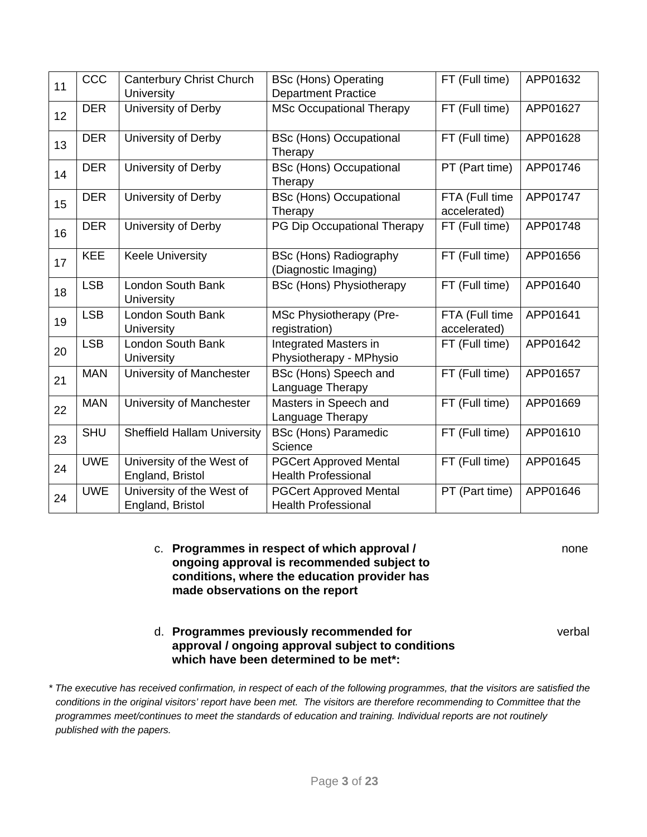| 11 | CCC        | Canterbury Christ Church<br><b>University</b> | <b>BSc (Hons) Operating</b><br><b>Department Practice</b>   | FT (Full time)                 | APP01632 |
|----|------------|-----------------------------------------------|-------------------------------------------------------------|--------------------------------|----------|
| 12 | <b>DER</b> | University of Derby                           | <b>MSc Occupational Therapy</b>                             | FT (Full time)                 | APP01627 |
| 13 | <b>DER</b> | University of Derby                           | <b>BSc (Hons) Occupational</b><br>Therapy                   | FT (Full time)                 | APP01628 |
| 14 | <b>DER</b> | University of Derby                           | <b>BSc (Hons) Occupational</b><br>Therapy                   | PT (Part time)                 | APP01746 |
| 15 | <b>DER</b> | University of Derby                           | <b>BSc (Hons) Occupational</b><br>Therapy                   | FTA (Full time<br>accelerated) | APP01747 |
| 16 | <b>DER</b> | University of Derby                           | PG Dip Occupational Therapy                                 | FT (Full time)                 | APP01748 |
| 17 | <b>KEE</b> | <b>Keele University</b>                       | <b>BSc (Hons) Radiography</b><br>(Diagnostic Imaging)       | FT (Full time)                 | APP01656 |
| 18 | <b>LSB</b> | London South Bank<br>University               | <b>BSc (Hons) Physiotherapy</b>                             | FT (Full time)                 | APP01640 |
| 19 | <b>LSB</b> | London South Bank<br>University               | MSc Physiotherapy (Pre-<br>registration)                    | FTA (Full time<br>accelerated) | APP01641 |
| 20 | <b>LSB</b> | London South Bank<br><b>University</b>        | Integrated Masters in<br>Physiotherapy - MPhysio            | FT (Full time)                 | APP01642 |
| 21 | <b>MAN</b> | University of Manchester                      | BSc (Hons) Speech and<br>Language Therapy                   | FT (Full time)                 | APP01657 |
| 22 | <b>MAN</b> | University of Manchester                      | Masters in Speech and<br>Language Therapy                   | FT (Full time)                 | APP01669 |
| 23 | <b>SHU</b> | <b>Sheffield Hallam University</b>            | <b>BSc (Hons) Paramedic</b><br>Science                      | FT (Full time)                 | APP01610 |
| 24 | <b>UWE</b> | University of the West of<br>England, Bristol | <b>PGCert Approved Mental</b><br><b>Health Professional</b> | FT (Full time)                 | APP01645 |
| 24 | <b>UWE</b> | University of the West of<br>England, Bristol | <b>PGCert Approved Mental</b><br><b>Health Professional</b> | PT (Part time)                 | APP01646 |

c. **Programmes in respect of which approval /** none **ongoing approval is recommended subject to conditions, where the education provider has made observations on the report** 

d. **Programmes previously recommended for** verbal **approval / ongoing approval subject to conditions which have been determined to be met\*:**

*\* The executive has received confirmation, in respect of each of the following programmes, that the visitors are satisfied the conditions in the original visitors' report have been met. The visitors are therefore recommending to Committee that the programmes meet/continues to meet the standards of education and training. Individual reports are not routinely published with the papers.*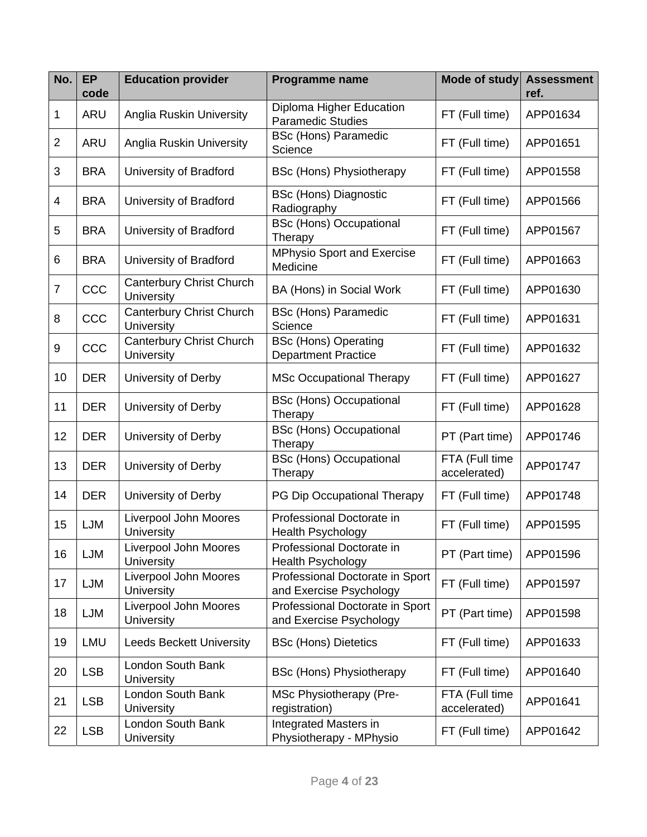| No.            | <b>EP</b><br>code | <b>Education provider</b>                            | <b>Programme name</b>                                      | <b>Mode of study</b>           | <b>Assessment</b><br>ref. |
|----------------|-------------------|------------------------------------------------------|------------------------------------------------------------|--------------------------------|---------------------------|
| 1              | ARU               | Anglia Ruskin University                             | Diploma Higher Education<br><b>Paramedic Studies</b>       | FT (Full time)                 | APP01634                  |
| $\overline{2}$ | ARU               | Anglia Ruskin University                             | <b>BSc (Hons) Paramedic</b><br>Science                     | FT (Full time)                 | APP01651                  |
| 3              | <b>BRA</b>        | University of Bradford                               | <b>BSc (Hons) Physiotherapy</b>                            | FT (Full time)                 | APP01558                  |
| 4              | <b>BRA</b>        | University of Bradford                               | <b>BSc (Hons) Diagnostic</b><br>Radiography                | FT (Full time)                 | APP01566                  |
| 5              | <b>BRA</b>        | University of Bradford                               | <b>BSc (Hons) Occupational</b><br>Therapy                  | FT (Full time)                 | APP01567                  |
| 6              | <b>BRA</b>        | University of Bradford                               | <b>MPhysio Sport and Exercise</b><br>Medicine              | FT (Full time)                 | APP01663                  |
| $\overline{7}$ | CCC               | <b>Canterbury Christ Church</b><br><b>University</b> | BA (Hons) in Social Work                                   | FT (Full time)                 | APP01630                  |
| 8              | CCC               | Canterbury Christ Church<br>University               | <b>BSc (Hons) Paramedic</b><br>Science                     | FT (Full time)                 | APP01631                  |
| 9              | CCC               | Canterbury Christ Church<br>University               | <b>BSc (Hons) Operating</b><br><b>Department Practice</b>  | FT (Full time)                 | APP01632                  |
| 10             | <b>DER</b>        | University of Derby                                  | <b>MSc Occupational Therapy</b>                            | FT (Full time)                 | APP01627                  |
| 11             | <b>DER</b>        | University of Derby                                  | <b>BSc (Hons) Occupational</b><br>Therapy                  | FT (Full time)                 | APP01628                  |
| 12             | <b>DER</b>        | University of Derby                                  | <b>BSc (Hons) Occupational</b><br>Therapy                  | PT (Part time)                 | APP01746                  |
| 13             | <b>DER</b>        | University of Derby                                  | <b>BSc (Hons) Occupational</b><br>Therapy                  | FTA (Full time<br>accelerated) | APP01747                  |
| 14             | <b>DER</b>        | University of Derby                                  | PG Dip Occupational Therapy                                | FT (Full time)                 | APP01748                  |
| 15             | <b>LJM</b>        | Liverpool John Moores<br>University                  | Professional Doctorate in<br><b>Health Psychology</b>      | FT (Full time)                 | APP01595                  |
| 16             | LJM               | Liverpool John Moores<br>University                  | Professional Doctorate in<br><b>Health Psychology</b>      | PT (Part time)                 | APP01596                  |
| 17             | LJM               | Liverpool John Moores<br>University                  | Professional Doctorate in Sport<br>and Exercise Psychology | FT (Full time)                 | APP01597                  |
| 18             | LJM               | Liverpool John Moores<br>University                  | Professional Doctorate in Sport<br>and Exercise Psychology | PT (Part time)                 | APP01598                  |
| 19             | LMU               | <b>Leeds Beckett University</b>                      | <b>BSc (Hons) Dietetics</b>                                | FT (Full time)                 | APP01633                  |
| 20             | <b>LSB</b>        | London South Bank<br>University                      | <b>BSc (Hons) Physiotherapy</b>                            | FT (Full time)                 | APP01640                  |
| 21             | <b>LSB</b>        | London South Bank<br><b>University</b>               | MSc Physiotherapy (Pre-<br>registration)                   | FTA (Full time<br>accelerated) | APP01641                  |
| 22             | <b>LSB</b>        | London South Bank<br>University                      | Integrated Masters in<br>Physiotherapy - MPhysio           | FT (Full time)                 | APP01642                  |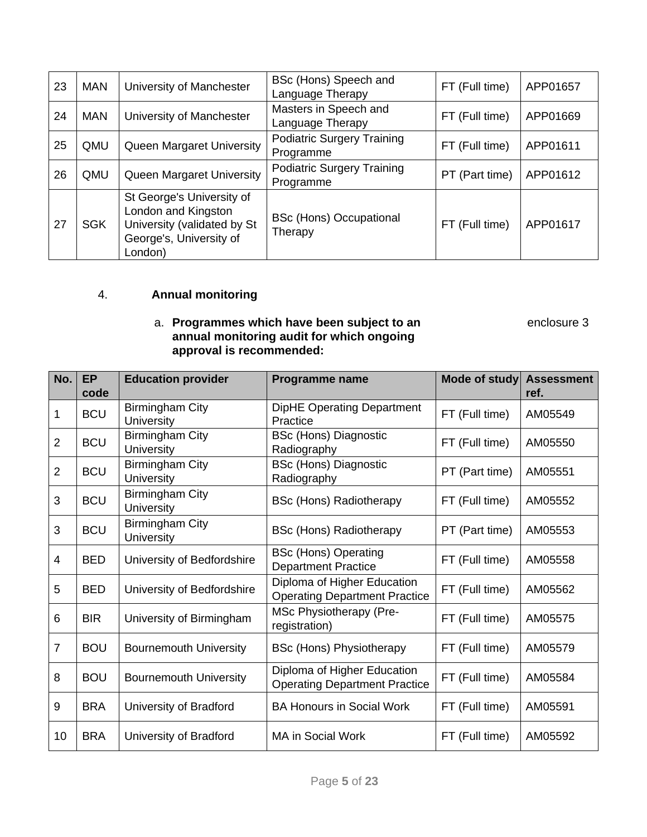| 23 | <b>MAN</b> | University of Manchester                                                                                              | BSc (Hons) Speech and<br>Language Therapy      | FT (Full time) | APP01657 |
|----|------------|-----------------------------------------------------------------------------------------------------------------------|------------------------------------------------|----------------|----------|
| 24 | <b>MAN</b> | University of Manchester                                                                                              | Masters in Speech and<br>Language Therapy      | FT (Full time) | APP01669 |
| 25 | QMU        | Queen Margaret University                                                                                             | <b>Podiatric Surgery Training</b><br>Programme | FT (Full time) | APP01611 |
| 26 | QMU        | Queen Margaret University                                                                                             | <b>Podiatric Surgery Training</b><br>Programme | PT (Part time) | APP01612 |
| 27 | <b>SGK</b> | St George's University of<br>London and Kingston<br>University (validated by St<br>George's, University of<br>London) | <b>BSc (Hons) Occupational</b><br>Therapy      | FT (Full time) | APP01617 |

### 4. **Annual monitoring**

#### a. **Programmes which have been subject to an enclosure 3 annual monitoring audit for which ongoing approval is recommended:**

| No.            | <b>EP</b><br>code | <b>Education provider</b>                   | Programme name                                                      | Mode of study  | <b>Assessment</b><br>ref. |
|----------------|-------------------|---------------------------------------------|---------------------------------------------------------------------|----------------|---------------------------|
| 1              | <b>BCU</b>        | Birmingham City<br><b>University</b>        | <b>DipHE Operating Department</b><br>Practice                       | FT (Full time) | AM05549                   |
| $\overline{2}$ | <b>BCU</b>        | <b>Birmingham City</b><br><b>University</b> | <b>BSc (Hons) Diagnostic</b><br>Radiography                         | FT (Full time) | AM05550                   |
| $\overline{2}$ | <b>BCU</b>        | Birmingham City<br><b>University</b>        | <b>BSc (Hons) Diagnostic</b><br>Radiography                         | PT (Part time) | AM05551                   |
| 3              | <b>BCU</b>        | <b>Birmingham City</b><br><b>University</b> | <b>BSc (Hons) Radiotherapy</b>                                      | FT (Full time) | AM05552                   |
| 3              | <b>BCU</b>        | <b>Birmingham City</b><br><b>University</b> | <b>BSc (Hons) Radiotherapy</b>                                      | PT (Part time) | AM05553                   |
| 4              | <b>BED</b>        | University of Bedfordshire                  | <b>BSc (Hons) Operating</b><br><b>Department Practice</b>           | FT (Full time) | AM05558                   |
| 5              | <b>BED</b>        | University of Bedfordshire                  | Diploma of Higher Education<br><b>Operating Department Practice</b> | FT (Full time) | AM05562                   |
| 6              | <b>BIR</b>        | University of Birmingham                    | MSc Physiotherapy (Pre-<br>registration)                            | FT (Full time) | AM05575                   |
| $\overline{7}$ | <b>BOU</b>        | <b>Bournemouth University</b>               | <b>BSc (Hons) Physiotherapy</b>                                     | FT (Full time) | AM05579                   |
| 8              | <b>BOU</b>        | <b>Bournemouth University</b>               | Diploma of Higher Education<br><b>Operating Department Practice</b> | FT (Full time) | AM05584                   |
| 9              | <b>BRA</b>        | University of Bradford                      | <b>BA Honours in Social Work</b>                                    | FT (Full time) | AM05591                   |
| 10             | <b>BRA</b>        | University of Bradford                      | <b>MA in Social Work</b>                                            | FT (Full time) | AM05592                   |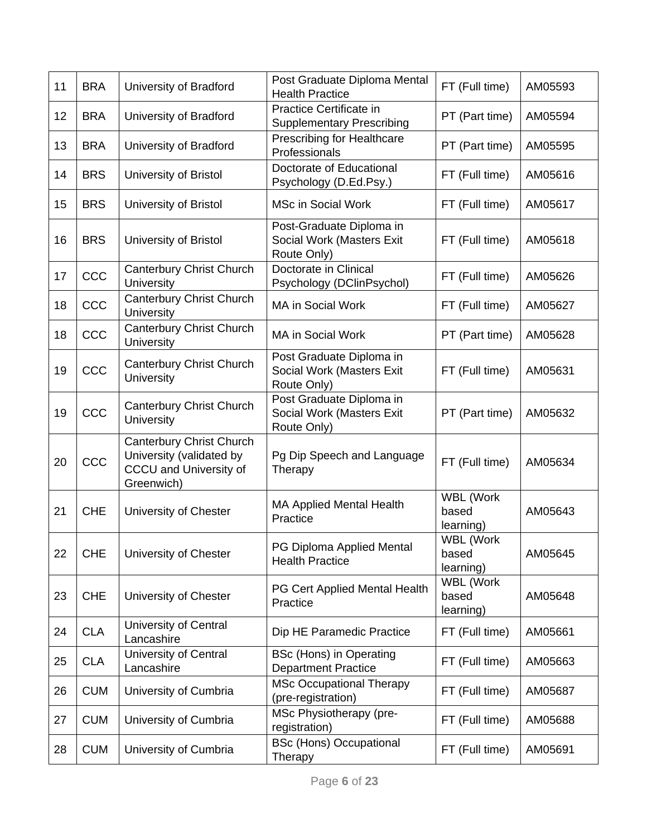| 11 | <b>BRA</b> | University of Bradford                                                                              | Post Graduate Diploma Mental<br><b>Health Practice</b>               | FT (Full time)                  | AM05593 |
|----|------------|-----------------------------------------------------------------------------------------------------|----------------------------------------------------------------------|---------------------------------|---------|
| 12 | <b>BRA</b> | University of Bradford                                                                              | Practice Certificate in<br><b>Supplementary Prescribing</b>          | PT (Part time)                  | AM05594 |
| 13 | <b>BRA</b> | University of Bradford                                                                              | Prescribing for Healthcare<br>Professionals                          | PT (Part time)                  | AM05595 |
| 14 | <b>BRS</b> | University of Bristol                                                                               | Doctorate of Educational<br>Psychology (D.Ed.Psy.)                   | FT (Full time)                  | AM05616 |
| 15 | <b>BRS</b> | University of Bristol                                                                               | <b>MSc in Social Work</b>                                            | FT (Full time)                  | AM05617 |
| 16 | <b>BRS</b> | University of Bristol                                                                               | Post-Graduate Diploma in<br>Social Work (Masters Exit<br>Route Only) | FT (Full time)                  | AM05618 |
| 17 | CCC        | Canterbury Christ Church<br><b>University</b>                                                       | Doctorate in Clinical<br>Psychology (DClinPsychol)                   | FT (Full time)                  | AM05626 |
| 18 | CCC        | <b>Canterbury Christ Church</b><br>University                                                       | MA in Social Work                                                    | FT (Full time)                  | AM05627 |
| 18 | CCC        | <b>Canterbury Christ Church</b><br>University                                                       | MA in Social Work                                                    | PT (Part time)                  | AM05628 |
| 19 | CCC        | Canterbury Christ Church<br>University                                                              | Post Graduate Diploma in<br>Social Work (Masters Exit<br>Route Only) | FT (Full time)                  | AM05631 |
| 19 | CCC        | Canterbury Christ Church<br><b>University</b>                                                       | Post Graduate Diploma in<br>Social Work (Masters Exit<br>Route Only) | PT (Part time)                  | AM05632 |
| 20 | CCC        | Canterbury Christ Church<br>University (validated by<br><b>CCCU and University of</b><br>Greenwich) | Pg Dip Speech and Language<br>Therapy                                | FT (Full time)                  | AM05634 |
| 21 | <b>CHE</b> | University of Chester                                                                               | <b>MA Applied Mental Health</b><br>Practice                          | WBL (Work<br>based<br>learning) | AM05643 |
| 22 | <b>CHE</b> | University of Chester                                                                               | PG Diploma Applied Mental<br><b>Health Practice</b>                  | WBL (Work<br>based<br>learning) | AM05645 |
| 23 | <b>CHE</b> | University of Chester                                                                               | PG Cert Applied Mental Health<br>Practice                            | WBL (Work<br>based<br>learning) | AM05648 |
| 24 | <b>CLA</b> | University of Central<br>Lancashire                                                                 | Dip HE Paramedic Practice                                            | FT (Full time)                  | AM05661 |
| 25 | <b>CLA</b> | University of Central<br>Lancashire                                                                 | <b>BSc (Hons) in Operating</b><br><b>Department Practice</b>         | FT (Full time)                  | AM05663 |
| 26 | <b>CUM</b> | University of Cumbria                                                                               | <b>MSc Occupational Therapy</b><br>(pre-registration)                | FT (Full time)                  | AM05687 |
| 27 | <b>CUM</b> | University of Cumbria                                                                               | MSc Physiotherapy (pre-<br>registration)                             | FT (Full time)                  | AM05688 |
| 28 | <b>CUM</b> | University of Cumbria                                                                               | <b>BSc (Hons) Occupational</b><br>Therapy                            | FT (Full time)                  | AM05691 |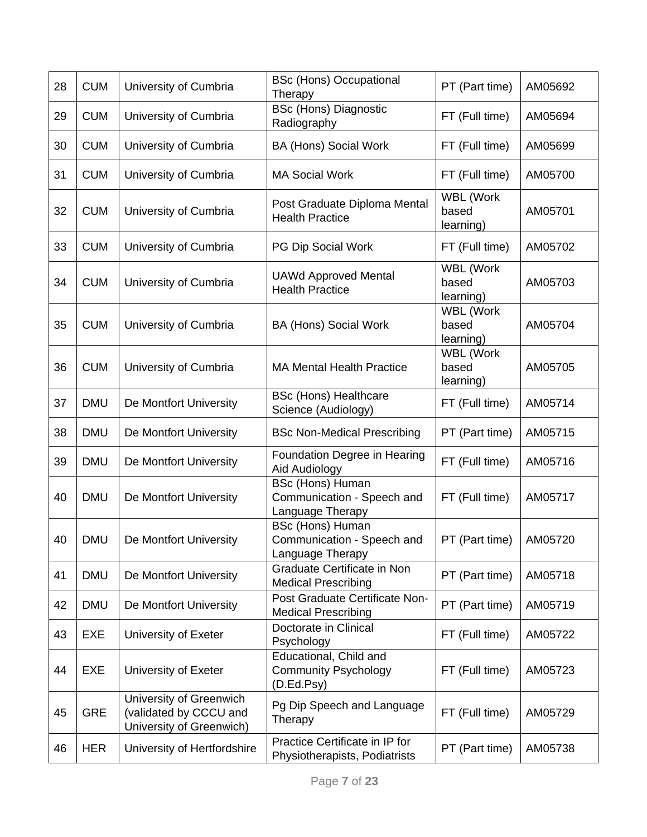| 28 | <b>CUM</b> | University of Cumbria                                                         | <b>BSc (Hons) Occupational</b><br>Therapy                                 | PT (Part time)                         | AM05692 |
|----|------------|-------------------------------------------------------------------------------|---------------------------------------------------------------------------|----------------------------------------|---------|
| 29 | <b>CUM</b> | University of Cumbria                                                         | <b>BSc (Hons) Diagnostic</b><br>Radiography                               | FT (Full time)                         | AM05694 |
| 30 | <b>CUM</b> | University of Cumbria                                                         | <b>BA (Hons) Social Work</b>                                              | FT (Full time)                         | AM05699 |
| 31 | <b>CUM</b> | University of Cumbria                                                         | <b>MA Social Work</b>                                                     | FT (Full time)                         | AM05700 |
| 32 | <b>CUM</b> | University of Cumbria                                                         | Post Graduate Diploma Mental<br><b>Health Practice</b>                    | WBL (Work<br>based<br>learning)        | AM05701 |
| 33 | <b>CUM</b> | University of Cumbria                                                         | PG Dip Social Work                                                        | FT (Full time)                         | AM05702 |
| 34 | <b>CUM</b> | University of Cumbria                                                         | <b>UAWd Approved Mental</b><br><b>Health Practice</b>                     | WBL (Work<br>based<br>learning)        | AM05703 |
| 35 | <b>CUM</b> | University of Cumbria                                                         | <b>BA (Hons) Social Work</b>                                              | <b>WBL (Work</b><br>based<br>learning) | AM05704 |
| 36 | <b>CUM</b> | University of Cumbria                                                         | <b>MA Mental Health Practice</b>                                          | <b>WBL</b> (Work<br>based<br>learning) | AM05705 |
| 37 | <b>DMU</b> | De Montfort University                                                        | <b>BSc (Hons) Healthcare</b><br>Science (Audiology)                       | FT (Full time)                         | AM05714 |
| 38 | <b>DMU</b> | De Montfort University                                                        | <b>BSc Non-Medical Prescribing</b>                                        | PT (Part time)                         | AM05715 |
| 39 | <b>DMU</b> | De Montfort University                                                        | Foundation Degree in Hearing<br>Aid Audiology                             | FT (Full time)                         | AM05716 |
| 40 | <b>DMU</b> | De Montfort University                                                        | <b>BSc (Hons) Human</b><br>Communication - Speech and<br>Language Therapy | FT (Full time)                         | AM05717 |
| 40 | <b>DMU</b> | De Montfort University                                                        | <b>BSc (Hons) Human</b><br>Communication - Speech and<br>Language Therapy | PT (Part time)                         | AM05720 |
| 41 | <b>DMU</b> | De Montfort University                                                        | Graduate Certificate in Non<br><b>Medical Prescribing</b>                 | PT (Part time)                         | AM05718 |
| 42 | <b>DMU</b> | De Montfort University                                                        | Post Graduate Certificate Non-<br><b>Medical Prescribing</b>              | PT (Part time)                         | AM05719 |
| 43 | <b>EXE</b> | University of Exeter                                                          | Doctorate in Clinical<br>Psychology                                       | FT (Full time)                         | AM05722 |
| 44 | EXE        | University of Exeter                                                          | Educational, Child and<br><b>Community Psychology</b><br>(D.Ed.Psy)       | FT (Full time)                         | AM05723 |
| 45 | <b>GRE</b> | University of Greenwich<br>(validated by CCCU and<br>University of Greenwich) | Pg Dip Speech and Language<br>Therapy                                     | FT (Full time)                         | AM05729 |
| 46 | <b>HER</b> | University of Hertfordshire                                                   | Practice Certificate in IP for<br>Physiotherapists, Podiatrists           | PT (Part time)                         | AM05738 |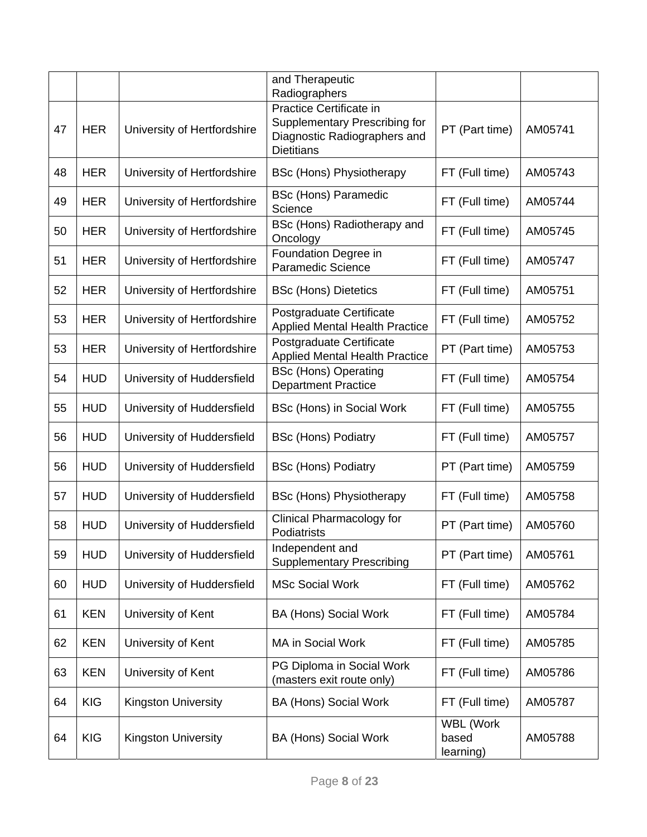|    |            |                             | and Therapeutic<br>Radiographers                                                                              |                                 |         |
|----|------------|-----------------------------|---------------------------------------------------------------------------------------------------------------|---------------------------------|---------|
| 47 | <b>HER</b> | University of Hertfordshire | Practice Certificate in<br>Supplementary Prescribing for<br>Diagnostic Radiographers and<br><b>Dietitians</b> | PT (Part time)                  | AM05741 |
| 48 | <b>HER</b> | University of Hertfordshire | <b>BSc (Hons) Physiotherapy</b>                                                                               | FT (Full time)                  | AM05743 |
| 49 | <b>HER</b> | University of Hertfordshire | <b>BSc (Hons) Paramedic</b><br>Science                                                                        | FT (Full time)                  | AM05744 |
| 50 | <b>HER</b> | University of Hertfordshire | BSc (Hons) Radiotherapy and<br>Oncology                                                                       | FT (Full time)                  | AM05745 |
| 51 | <b>HER</b> | University of Hertfordshire | Foundation Degree in<br><b>Paramedic Science</b>                                                              | FT (Full time)                  | AM05747 |
| 52 | <b>HER</b> | University of Hertfordshire | <b>BSc (Hons) Dietetics</b>                                                                                   | FT (Full time)                  | AM05751 |
| 53 | <b>HER</b> | University of Hertfordshire | Postgraduate Certificate<br><b>Applied Mental Health Practice</b>                                             | FT (Full time)                  | AM05752 |
| 53 | <b>HER</b> | University of Hertfordshire | Postgraduate Certificate<br><b>Applied Mental Health Practice</b>                                             | PT (Part time)                  | AM05753 |
| 54 | <b>HUD</b> | University of Huddersfield  | <b>BSc (Hons) Operating</b><br><b>Department Practice</b>                                                     | FT (Full time)                  | AM05754 |
| 55 | <b>HUD</b> | University of Huddersfield  | BSc (Hons) in Social Work                                                                                     | FT (Full time)                  | AM05755 |
| 56 | <b>HUD</b> | University of Huddersfield  | <b>BSc (Hons) Podiatry</b>                                                                                    | FT (Full time)                  | AM05757 |
| 56 | <b>HUD</b> | University of Huddersfield  | <b>BSc (Hons) Podiatry</b>                                                                                    | PT (Part time)                  | AM05759 |
| 57 | <b>HUD</b> | University of Huddersfield  | <b>BSc (Hons) Physiotherapy</b>                                                                               | FT (Full time)                  | AM05758 |
| 58 | <b>HUD</b> | University of Huddersfield  | Clinical Pharmacology for<br>Podiatrists                                                                      | PT (Part time)                  | AM05760 |
| 59 | <b>HUD</b> | University of Huddersfield  | Independent and<br><b>Supplementary Prescribing</b>                                                           | PT (Part time)                  | AM05761 |
| 60 | <b>HUD</b> | University of Huddersfield  | <b>MSc Social Work</b>                                                                                        | FT (Full time)                  | AM05762 |
| 61 | <b>KEN</b> | University of Kent          | <b>BA (Hons) Social Work</b>                                                                                  | FT (Full time)                  | AM05784 |
| 62 | <b>KEN</b> | University of Kent          | MA in Social Work                                                                                             | FT (Full time)                  | AM05785 |
| 63 | <b>KEN</b> | University of Kent          | PG Diploma in Social Work<br>(masters exit route only)                                                        | FT (Full time)                  | AM05786 |
| 64 | <b>KIG</b> | <b>Kingston University</b>  | BA (Hons) Social Work                                                                                         | FT (Full time)                  | AM05787 |
| 64 | <b>KIG</b> | <b>Kingston University</b>  | <b>BA (Hons) Social Work</b>                                                                                  | WBL (Work<br>based<br>learning) | AM05788 |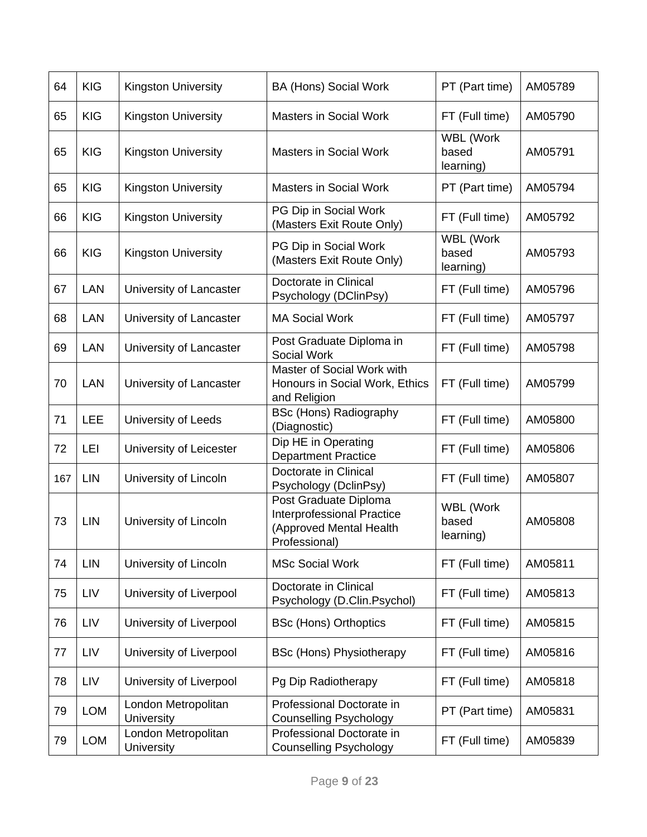| 64  | <b>KIG</b> | Kingston University               | <b>BA (Hons) Social Work</b>                                                                           | PT (Part time)                         | AM05789 |
|-----|------------|-----------------------------------|--------------------------------------------------------------------------------------------------------|----------------------------------------|---------|
| 65  | <b>KIG</b> | <b>Kingston University</b>        | <b>Masters in Social Work</b>                                                                          | FT (Full time)                         | AM05790 |
| 65  | <b>KIG</b> | <b>Kingston University</b>        | <b>Masters in Social Work</b>                                                                          | WBL (Work<br>based<br>learning)        | AM05791 |
| 65  | <b>KIG</b> | <b>Kingston University</b>        | <b>Masters in Social Work</b>                                                                          | PT (Part time)                         | AM05794 |
| 66  | <b>KIG</b> | <b>Kingston University</b>        | PG Dip in Social Work<br>(Masters Exit Route Only)                                                     | FT (Full time)                         | AM05792 |
| 66  | <b>KIG</b> | <b>Kingston University</b>        | PG Dip in Social Work<br>(Masters Exit Route Only)                                                     | WBL (Work<br>based<br>learning)        | AM05793 |
| 67  | <b>LAN</b> | University of Lancaster           | Doctorate in Clinical<br>Psychology (DClinPsy)                                                         | FT (Full time)                         | AM05796 |
| 68  | <b>LAN</b> | University of Lancaster           | <b>MA Social Work</b>                                                                                  | FT (Full time)                         | AM05797 |
| 69  | <b>LAN</b> | University of Lancaster           | Post Graduate Diploma in<br>Social Work                                                                | FT (Full time)                         | AM05798 |
| 70  | <b>LAN</b> | University of Lancaster           | Master of Social Work with<br>Honours in Social Work, Ethics<br>and Religion                           | FT (Full time)                         | AM05799 |
| 71  | LEE        | University of Leeds               | <b>BSc (Hons) Radiography</b><br>(Diagnostic)                                                          | FT (Full time)                         | AM05800 |
| 72  | LEI        | University of Leicester           | Dip HE in Operating<br><b>Department Practice</b>                                                      | FT (Full time)                         | AM05806 |
| 167 | LIN        | University of Lincoln             | Doctorate in Clinical<br>Psychology (DclinPsy)                                                         | FT (Full time)                         | AM05807 |
| 73  | LIN        | University of Lincoln             | Post Graduate Diploma<br><b>Interprofessional Practice</b><br>(Approved Mental Health<br>Professional) | <b>WBL (Work</b><br>based<br>learning) | AM05808 |
| 74  | <b>LIN</b> | University of Lincoln             | <b>MSc Social Work</b>                                                                                 | FT (Full time)                         | AM05811 |
| 75  | LIV        | University of Liverpool           | Doctorate in Clinical<br>Psychology (D.Clin.Psychol)                                                   | FT (Full time)                         | AM05813 |
| 76  | LIV        | University of Liverpool           | <b>BSc (Hons) Orthoptics</b>                                                                           | FT (Full time)                         | AM05815 |
| 77  | LIV        | University of Liverpool           | <b>BSc (Hons) Physiotherapy</b>                                                                        | FT (Full time)                         | AM05816 |
| 78  | LIV        | University of Liverpool           | Pg Dip Radiotherapy                                                                                    | FT (Full time)                         | AM05818 |
| 79  | <b>LOM</b> | London Metropolitan<br>University | Professional Doctorate in<br><b>Counselling Psychology</b>                                             | PT (Part time)                         | AM05831 |
| 79  | <b>LOM</b> | London Metropolitan<br>University | Professional Doctorate in<br><b>Counselling Psychology</b>                                             | FT (Full time)                         | AM05839 |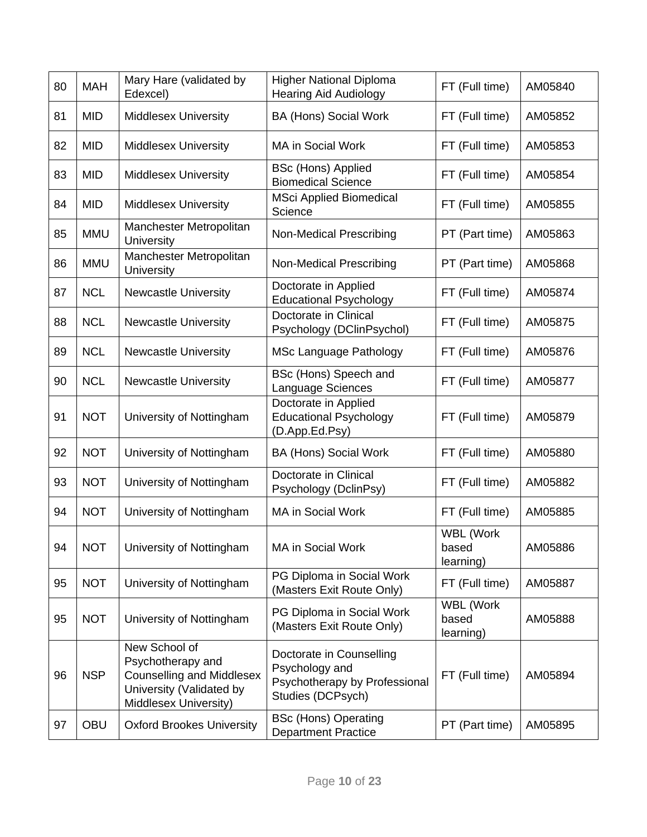| 80 | <b>MAH</b> | Mary Hare (validated by<br>Edexcel)                                                                                         | <b>Higher National Diploma</b><br><b>Hearing Aid Audiology</b>                                   | FT (Full time)                         | AM05840 |
|----|------------|-----------------------------------------------------------------------------------------------------------------------------|--------------------------------------------------------------------------------------------------|----------------------------------------|---------|
| 81 | <b>MID</b> | <b>Middlesex University</b>                                                                                                 | <b>BA (Hons) Social Work</b>                                                                     | FT (Full time)                         | AM05852 |
| 82 | <b>MID</b> | <b>Middlesex University</b>                                                                                                 | <b>MA in Social Work</b>                                                                         | FT (Full time)                         | AM05853 |
| 83 | <b>MID</b> | <b>Middlesex University</b>                                                                                                 | <b>BSc (Hons) Applied</b><br><b>Biomedical Science</b>                                           | FT (Full time)                         | AM05854 |
| 84 | <b>MID</b> | <b>Middlesex University</b>                                                                                                 | <b>MSci Applied Biomedical</b><br>Science                                                        | FT (Full time)                         | AM05855 |
| 85 | <b>MMU</b> | Manchester Metropolitan<br>University                                                                                       | <b>Non-Medical Prescribing</b>                                                                   | PT (Part time)                         | AM05863 |
| 86 | <b>MMU</b> | Manchester Metropolitan<br>University                                                                                       | <b>Non-Medical Prescribing</b>                                                                   | PT (Part time)                         | AM05868 |
| 87 | <b>NCL</b> | <b>Newcastle University</b>                                                                                                 | Doctorate in Applied<br><b>Educational Psychology</b>                                            | FT (Full time)                         | AM05874 |
| 88 | <b>NCL</b> | <b>Newcastle University</b>                                                                                                 | Doctorate in Clinical<br>Psychology (DClinPsychol)                                               | FT (Full time)                         | AM05875 |
| 89 | <b>NCL</b> | <b>Newcastle University</b>                                                                                                 | <b>MSc Language Pathology</b>                                                                    | FT (Full time)                         | AM05876 |
| 90 | <b>NCL</b> | <b>Newcastle University</b>                                                                                                 | BSc (Hons) Speech and<br>Language Sciences                                                       | FT (Full time)                         | AM05877 |
| 91 | <b>NOT</b> | University of Nottingham                                                                                                    | Doctorate in Applied<br><b>Educational Psychology</b><br>(D.App.Ed.Psy)                          | FT (Full time)                         | AM05879 |
| 92 | <b>NOT</b> | University of Nottingham                                                                                                    | <b>BA (Hons) Social Work</b>                                                                     | FT (Full time)                         | AM05880 |
| 93 | <b>NOT</b> | University of Nottingham                                                                                                    | Doctorate in Clinical<br>Psychology (DclinPsy)                                                   | FT (Full time)                         | AM05882 |
| 94 | <b>NOT</b> | University of Nottingham                                                                                                    | <b>MA in Social Work</b>                                                                         | FT (Full time)                         | AM05885 |
| 94 | <b>NOT</b> | University of Nottingham                                                                                                    | MA in Social Work                                                                                | WBL (Work<br>based<br>learning)        | AM05886 |
| 95 | <b>NOT</b> | University of Nottingham                                                                                                    | PG Diploma in Social Work<br>(Masters Exit Route Only)                                           | FT (Full time)                         | AM05887 |
| 95 | <b>NOT</b> | University of Nottingham                                                                                                    | PG Diploma in Social Work<br>(Masters Exit Route Only)                                           | <b>WBL</b> (Work<br>based<br>learning) | AM05888 |
| 96 | <b>NSP</b> | New School of<br>Psychotherapy and<br><b>Counselling and Middlesex</b><br>University (Validated by<br>Middlesex University) | Doctorate in Counselling<br>Psychology and<br>Psychotherapy by Professional<br>Studies (DCPsych) | FT (Full time)                         | AM05894 |
| 97 | <b>OBU</b> | <b>Oxford Brookes University</b>                                                                                            | <b>BSc (Hons) Operating</b><br><b>Department Practice</b>                                        | PT (Part time)                         | AM05895 |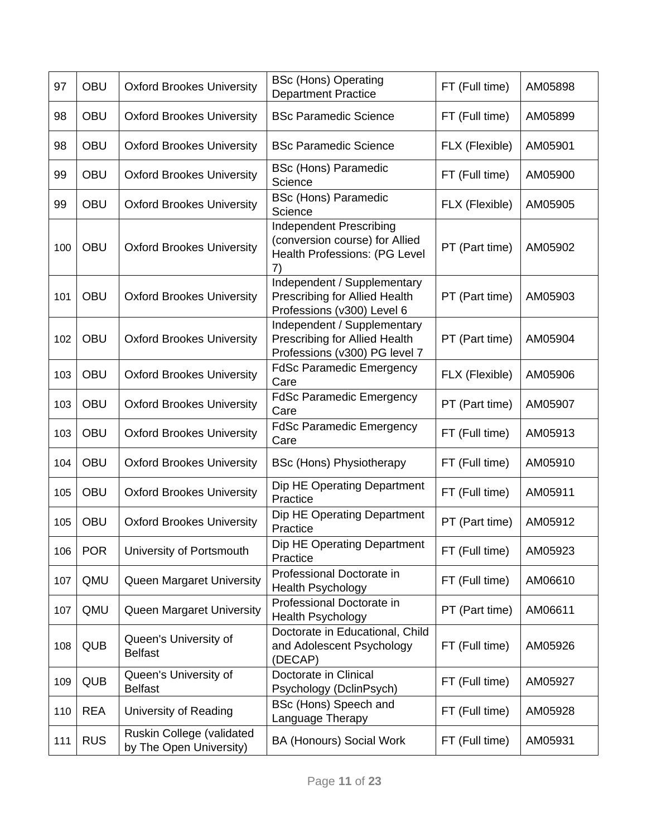| 97  | <b>OBU</b> | <b>Oxford Brookes University</b>                     | <b>BSc (Hons) Operating</b><br><b>Department Practice</b>                                         | FT (Full time) | AM05898 |
|-----|------------|------------------------------------------------------|---------------------------------------------------------------------------------------------------|----------------|---------|
| 98  | <b>OBU</b> | <b>Oxford Brookes University</b>                     | <b>BSc Paramedic Science</b>                                                                      | FT (Full time) | AM05899 |
| 98  | <b>OBU</b> | <b>Oxford Brookes University</b>                     | <b>BSc Paramedic Science</b>                                                                      | FLX (Flexible) | AM05901 |
| 99  | <b>OBU</b> | <b>Oxford Brookes University</b>                     | <b>BSc (Hons) Paramedic</b><br>Science                                                            | FT (Full time) | AM05900 |
| 99  | <b>OBU</b> | <b>Oxford Brookes University</b>                     | <b>BSc (Hons) Paramedic</b><br>Science                                                            | FLX (Flexible) | AM05905 |
| 100 | <b>OBU</b> | <b>Oxford Brookes University</b>                     | <b>Independent Prescribing</b><br>(conversion course) for Allied<br>Health Professions: (PG Level | PT (Part time) | AM05902 |
| 101 | <b>OBU</b> | <b>Oxford Brookes University</b>                     | Independent / Supplementary<br>Prescribing for Allied Health<br>Professions (v300) Level 6        | PT (Part time) | AM05903 |
| 102 | <b>OBU</b> | <b>Oxford Brookes University</b>                     | Independent / Supplementary<br>Prescribing for Allied Health<br>Professions (v300) PG level 7     | PT (Part time) | AM05904 |
| 103 | <b>OBU</b> | <b>Oxford Brookes University</b>                     | <b>FdSc Paramedic Emergency</b><br>Care                                                           | FLX (Flexible) | AM05906 |
| 103 | <b>OBU</b> | <b>Oxford Brookes University</b>                     | <b>FdSc Paramedic Emergency</b><br>Care                                                           | PT (Part time) | AM05907 |
| 103 | <b>OBU</b> | <b>Oxford Brookes University</b>                     | <b>FdSc Paramedic Emergency</b><br>Care                                                           | FT (Full time) | AM05913 |
| 104 | <b>OBU</b> | <b>Oxford Brookes University</b>                     | <b>BSc (Hons) Physiotherapy</b>                                                                   | FT (Full time) | AM05910 |
| 105 | <b>OBU</b> | <b>Oxford Brookes University</b>                     | Dip HE Operating Department<br>Practice                                                           | FT (Full time) | AM05911 |
| 105 | <b>OBU</b> | <b>Oxford Brookes University</b>                     | Dip HE Operating Department<br>Practice                                                           | PT (Part time) | AM05912 |
| 106 | <b>POR</b> | University of Portsmouth                             | Dip HE Operating Department<br>Practice                                                           | FT (Full time) | AM05923 |
| 107 | QMU        | Queen Margaret University                            | Professional Doctorate in<br><b>Health Psychology</b>                                             | FT (Full time) | AM06610 |
| 107 | QMU        | Queen Margaret University                            | Professional Doctorate in<br><b>Health Psychology</b>                                             | PT (Part time) | AM06611 |
| 108 | <b>QUB</b> | Queen's University of<br><b>Belfast</b>              | Doctorate in Educational, Child<br>and Adolescent Psychology<br>(DECAP)                           | FT (Full time) | AM05926 |
| 109 | <b>QUB</b> | Queen's University of<br><b>Belfast</b>              | Doctorate in Clinical<br>Psychology (DclinPsych)                                                  | FT (Full time) | AM05927 |
| 110 | <b>REA</b> | University of Reading                                | BSc (Hons) Speech and<br>Language Therapy                                                         | FT (Full time) | AM05928 |
| 111 | <b>RUS</b> | Ruskin College (validated<br>by The Open University) | <b>BA (Honours) Social Work</b>                                                                   | FT (Full time) | AM05931 |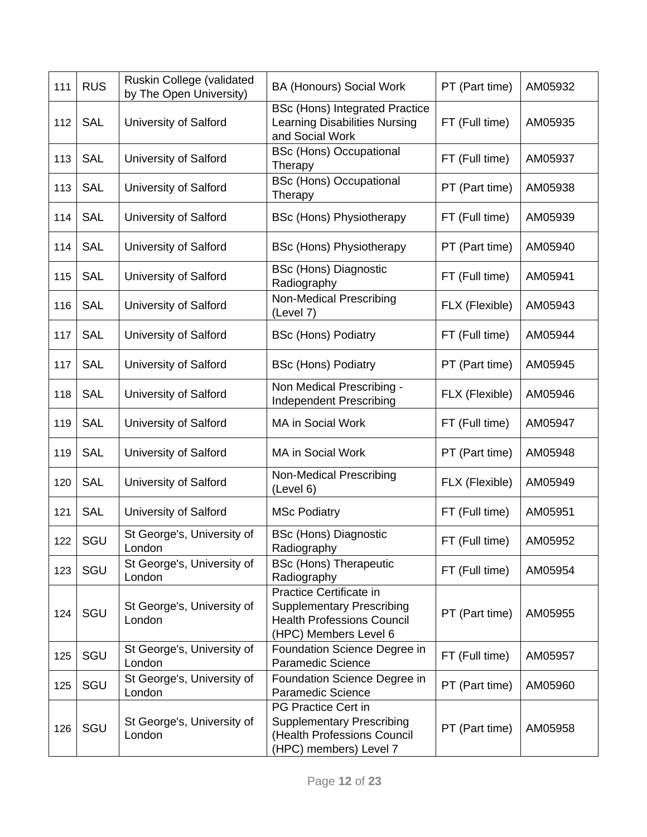| 111 | <b>RUS</b> | Ruskin College (validated<br>by The Open University) | <b>BA (Honours) Social Work</b>                                                                                           | PT (Part time) | AM05932 |
|-----|------------|------------------------------------------------------|---------------------------------------------------------------------------------------------------------------------------|----------------|---------|
| 112 | <b>SAL</b> | University of Salford                                | <b>BSc (Hons) Integrated Practice</b><br><b>Learning Disabilities Nursing</b><br>and Social Work                          | FT (Full time) | AM05935 |
| 113 | <b>SAL</b> | University of Salford                                | <b>BSc (Hons) Occupational</b><br>Therapy                                                                                 | FT (Full time) | AM05937 |
| 113 | <b>SAL</b> | University of Salford                                | <b>BSc (Hons) Occupational</b><br>Therapy                                                                                 | PT (Part time) | AM05938 |
| 114 | <b>SAL</b> | University of Salford                                | <b>BSc (Hons) Physiotherapy</b>                                                                                           | FT (Full time) | AM05939 |
| 114 | <b>SAL</b> | University of Salford                                | <b>BSc (Hons) Physiotherapy</b>                                                                                           | PT (Part time) | AM05940 |
| 115 | <b>SAL</b> | University of Salford                                | <b>BSc (Hons) Diagnostic</b><br>Radiography                                                                               | FT (Full time) | AM05941 |
| 116 | <b>SAL</b> | University of Salford                                | Non-Medical Prescribing<br>(Level 7)                                                                                      | FLX (Flexible) | AM05943 |
| 117 | <b>SAL</b> | University of Salford                                | <b>BSc (Hons) Podiatry</b>                                                                                                | FT (Full time) | AM05944 |
| 117 | <b>SAL</b> | University of Salford                                | <b>BSc (Hons) Podiatry</b>                                                                                                | PT (Part time) | AM05945 |
| 118 | <b>SAL</b> | University of Salford                                | Non Medical Prescribing -<br>Independent Prescribing                                                                      | FLX (Flexible) | AM05946 |
| 119 | <b>SAL</b> | University of Salford                                | <b>MA in Social Work</b>                                                                                                  | FT (Full time) | AM05947 |
| 119 | <b>SAL</b> | University of Salford                                | MA in Social Work                                                                                                         | PT (Part time) | AM05948 |
| 120 | <b>SAL</b> | University of Salford                                | <b>Non-Medical Prescribing</b><br>(Level 6)                                                                               | FLX (Flexible) | AM05949 |
| 121 | <b>SAL</b> | University of Salford                                | <b>MSc Podiatry</b>                                                                                                       | FT (Full time) | AM05951 |
| 122 | SGU        | St George's, University of<br>London                 | <b>BSc (Hons) Diagnostic</b><br>Radiography                                                                               | FT (Full time) | AM05952 |
| 123 | SGU        | St George's, University of<br>London                 | <b>BSc (Hons) Therapeutic</b><br>Radiography                                                                              | FT (Full time) | AM05954 |
| 124 | SGU        | St George's, University of<br>London                 | Practice Certificate in<br><b>Supplementary Prescribing</b><br><b>Health Professions Council</b><br>(HPC) Members Level 6 | PT (Part time) | AM05955 |
| 125 | SGU        | St George's, University of<br>London                 | Foundation Science Degree in<br><b>Paramedic Science</b>                                                                  | FT (Full time) | AM05957 |
| 125 | SGU        | St George's, University of<br>London                 | Foundation Science Degree in<br>Paramedic Science                                                                         | PT (Part time) | AM05960 |
| 126 | SGU        | St George's, University of<br>London                 | <b>PG Practice Cert in</b><br><b>Supplementary Prescribing</b><br>(Health Professions Council<br>(HPC) members) Level 7   | PT (Part time) | AM05958 |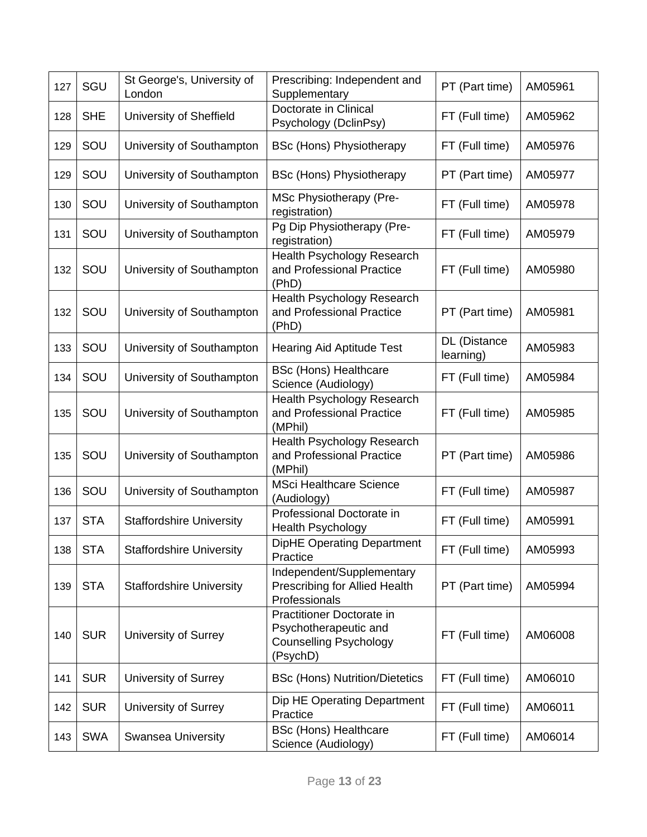| 127 | SGU        | St George's, University of<br>London | Prescribing: Independent and<br>Supplementary                                                   | PT (Part time)            | AM05961 |
|-----|------------|--------------------------------------|-------------------------------------------------------------------------------------------------|---------------------------|---------|
| 128 | <b>SHE</b> | University of Sheffield              | Doctorate in Clinical<br>Psychology (DclinPsy)                                                  | FT (Full time)            | AM05962 |
| 129 | SOU        | University of Southampton            | <b>BSc (Hons) Physiotherapy</b>                                                                 | FT (Full time)            | AM05976 |
| 129 | SOU        | University of Southampton            | <b>BSc (Hons) Physiotherapy</b>                                                                 | PT (Part time)            | AM05977 |
| 130 | SOU        | University of Southampton            | MSc Physiotherapy (Pre-<br>registration)                                                        | FT (Full time)            | AM05978 |
| 131 | SOU        | University of Southampton            | Pg Dip Physiotherapy (Pre-<br>registration)                                                     | FT (Full time)            | AM05979 |
| 132 | SOU        | University of Southampton            | <b>Health Psychology Research</b><br>and Professional Practice<br>(PhD)                         | FT (Full time)            | AM05980 |
| 132 | SOU        | University of Southampton            | Health Psychology Research<br>and Professional Practice<br>(PhD)                                | PT (Part time)            | AM05981 |
| 133 | SOU        | University of Southampton            | <b>Hearing Aid Aptitude Test</b>                                                                | DL (Distance<br>learning) | AM05983 |
| 134 | SOU        | University of Southampton            | <b>BSc (Hons) Healthcare</b><br>Science (Audiology)                                             | FT (Full time)            | AM05984 |
| 135 | SOU        | University of Southampton            | <b>Health Psychology Research</b><br>and Professional Practice<br>(MPhil)                       | FT (Full time)            | AM05985 |
| 135 | SOU        | University of Southampton            | Health Psychology Research<br>and Professional Practice<br>(MPhil)                              | PT (Part time)            | AM05986 |
| 136 | SOU        | University of Southampton            | <b>MSci Healthcare Science</b><br>(Audiology)                                                   | FT (Full time)            | AM05987 |
| 137 | <b>STA</b> | <b>Staffordshire University</b>      | Professional Doctorate in<br><b>Health Psychology</b>                                           | FT (Full time)            | AM05991 |
| 138 | <b>STA</b> | <b>Staffordshire University</b>      | <b>DipHE Operating Department</b><br>Practice                                                   | FT (Full time)            | AM05993 |
| 139 | <b>STA</b> | <b>Staffordshire University</b>      | Independent/Supplementary<br>Prescribing for Allied Health<br>Professionals                     | PT (Part time)            | AM05994 |
| 140 | <b>SUR</b> | University of Surrey                 | Practitioner Doctorate in<br>Psychotherapeutic and<br><b>Counselling Psychology</b><br>(PsychD) | FT (Full time)            | AM06008 |
| 141 | <b>SUR</b> | University of Surrey                 | <b>BSc (Hons) Nutrition/Dietetics</b>                                                           | FT (Full time)            | AM06010 |
| 142 | <b>SUR</b> | University of Surrey                 | Dip HE Operating Department<br>Practice                                                         | FT (Full time)            | AM06011 |
| 143 | <b>SWA</b> | <b>Swansea University</b>            | <b>BSc (Hons) Healthcare</b><br>Science (Audiology)                                             | FT (Full time)            | AM06014 |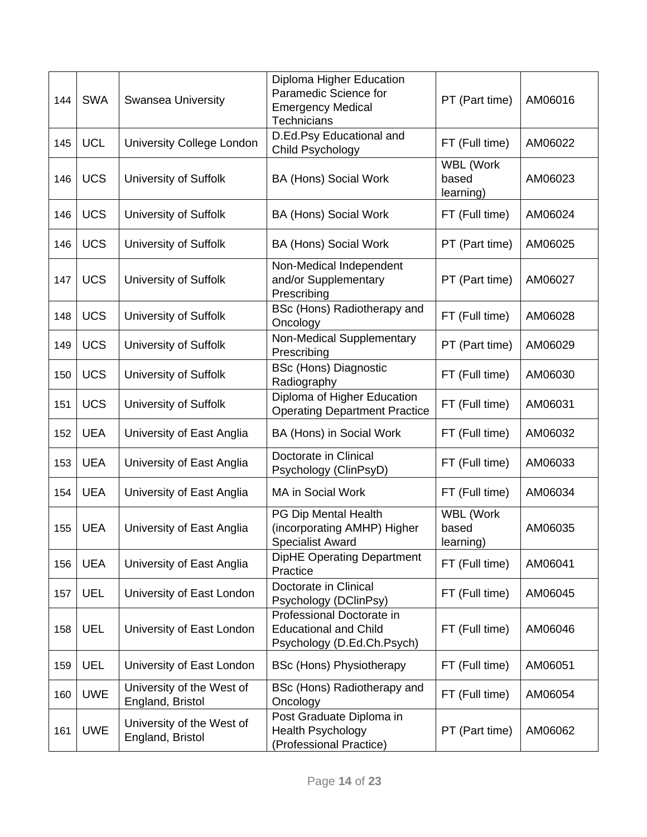| 144 | <b>SWA</b> | <b>Swansea University</b>                     | Diploma Higher Education<br>Paramedic Science for<br><b>Emergency Medical</b><br><b>Technicians</b> | PT (Part time)                  | AM06016 |
|-----|------------|-----------------------------------------------|-----------------------------------------------------------------------------------------------------|---------------------------------|---------|
| 145 | <b>UCL</b> | University College London                     | D.Ed.Psy Educational and<br>Child Psychology                                                        | FT (Full time)                  | AM06022 |
| 146 | <b>UCS</b> | University of Suffolk                         | <b>BA (Hons) Social Work</b>                                                                        | WBL (Work<br>based<br>learning) | AM06023 |
| 146 | <b>UCS</b> | University of Suffolk                         | <b>BA (Hons) Social Work</b>                                                                        | FT (Full time)                  | AM06024 |
| 146 | <b>UCS</b> | University of Suffolk                         | <b>BA (Hons) Social Work</b>                                                                        | PT (Part time)                  | AM06025 |
| 147 | <b>UCS</b> | University of Suffolk                         | Non-Medical Independent<br>and/or Supplementary<br>Prescribing                                      | PT (Part time)                  | AM06027 |
| 148 | <b>UCS</b> | University of Suffolk                         | BSc (Hons) Radiotherapy and<br>Oncology                                                             | FT (Full time)                  | AM06028 |
| 149 | <b>UCS</b> | University of Suffolk                         | Non-Medical Supplementary<br>Prescribing                                                            | PT (Part time)                  | AM06029 |
| 150 | <b>UCS</b> | University of Suffolk                         | <b>BSc (Hons) Diagnostic</b><br>Radiography                                                         | FT (Full time)                  | AM06030 |
| 151 | <b>UCS</b> | University of Suffolk                         | Diploma of Higher Education<br><b>Operating Department Practice</b>                                 | FT (Full time)                  | AM06031 |
| 152 | <b>UEA</b> | University of East Anglia                     | BA (Hons) in Social Work                                                                            | FT (Full time)                  | AM06032 |
| 153 | <b>UEA</b> | University of East Anglia                     | Doctorate in Clinical<br>Psychology (ClinPsyD)                                                      | FT (Full time)                  | AM06033 |
| 154 | <b>UEA</b> | University of East Anglia                     | MA in Social Work                                                                                   | FT (Full time)                  | AM06034 |
| 155 | <b>UEA</b> | University of East Anglia                     | PG Dip Mental Health<br>(incorporating AMHP) Higher<br><b>Specialist Award</b>                      | WBL (Work<br>based<br>learning) | AM06035 |
| 156 | <b>UEA</b> | University of East Anglia                     | <b>DipHE Operating Department</b><br>Practice                                                       | FT (Full time)                  | AM06041 |
| 157 | UEL        | University of East London                     | Doctorate in Clinical<br>Psychology (DClinPsy)                                                      | FT (Full time)                  | AM06045 |
| 158 | <b>UEL</b> | University of East London                     | Professional Doctorate in<br><b>Educational and Child</b><br>Psychology (D.Ed.Ch.Psych)             | FT (Full time)                  | AM06046 |
| 159 | UEL        | University of East London                     | <b>BSc (Hons) Physiotherapy</b>                                                                     | FT (Full time)                  | AM06051 |
| 160 | <b>UWE</b> | University of the West of<br>England, Bristol | BSc (Hons) Radiotherapy and<br>Oncology                                                             | FT (Full time)                  | AM06054 |
| 161 | <b>UWE</b> | University of the West of<br>England, Bristol | Post Graduate Diploma in<br><b>Health Psychology</b><br>(Professional Practice)                     | PT (Part time)                  | AM06062 |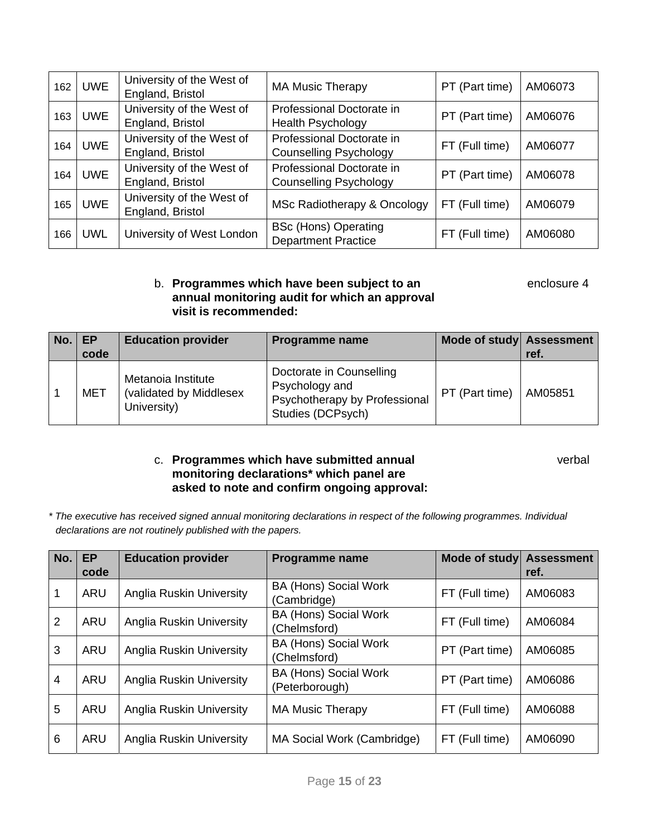| 162 | <b>UWE</b> | University of the West of<br>England, Bristol | <b>MA Music Therapy</b>                                    | PT (Part time) | AM06073 |
|-----|------------|-----------------------------------------------|------------------------------------------------------------|----------------|---------|
| 163 | <b>UWE</b> | University of the West of<br>England, Bristol | Professional Doctorate in<br><b>Health Psychology</b>      | PT (Part time) | AM06076 |
| 164 | <b>UWE</b> | University of the West of<br>England, Bristol | Professional Doctorate in<br><b>Counselling Psychology</b> | FT (Full time) | AM06077 |
| 164 | <b>UWE</b> | University of the West of<br>England, Bristol | Professional Doctorate in<br><b>Counselling Psychology</b> | PT (Part time) | AM06078 |
| 165 | <b>UWE</b> | University of the West of<br>England, Bristol | MSc Radiotherapy & Oncology                                | FT (Full time) | AM06079 |
| 166 | <b>UWL</b> | University of West London                     | <b>BSc (Hons) Operating</b><br><b>Department Practice</b>  | FT (Full time) | AM06080 |

### b. **Programmes which have been subject to an enclosure 4 annual monitoring audit for which an approval visit is recommended:**

| No. | EP         | <b>Education provider</b>                                    | <b>Programme name</b>                                                                            | Mode of study Assessment |         |
|-----|------------|--------------------------------------------------------------|--------------------------------------------------------------------------------------------------|--------------------------|---------|
|     | code       |                                                              |                                                                                                  |                          | ref.    |
|     | <b>MET</b> | Metanoia Institute<br>(validated by Middlesex<br>University) | Doctorate in Counselling<br>Psychology and<br>Psychotherapy by Professional<br>Studies (DCPsych) | PT (Part time)           | AM05851 |

### c. **Programmes which have submitted annual** verbal **monitoring declarations\* which panel are asked to note and confirm ongoing approval:**

*\* The executive has received signed annual monitoring declarations in respect of the following programmes. Individual declarations are not routinely published with the papers.* 

| No. | <b>EP</b>  | <b>Education provider</b>       | <b>Programme name</b>                        | Mode of study  | <b>Assessment</b> |
|-----|------------|---------------------------------|----------------------------------------------|----------------|-------------------|
|     | code       |                                 |                                              |                | ref.              |
| 1   | ARU        | Anglia Ruskin University        | <b>BA (Hons) Social Work</b><br>(Cambridge)  | FT (Full time) | AM06083           |
| 2   | ARU        | Anglia Ruskin University        | <b>BA (Hons) Social Work</b><br>(Chelmsford) | FT (Full time) | AM06084           |
| 3   | <b>ARU</b> | <b>Anglia Ruskin University</b> | <b>BA (Hons) Social Work</b><br>(Chelmsford) | PT (Part time) | AM06085           |
| 4   | <b>ARU</b> | Anglia Ruskin University        | BA (Hons) Social Work<br>(Peterborough)      | PT (Part time) | AM06086           |
| 5   | ARU        | Anglia Ruskin University        | <b>MA Music Therapy</b>                      | FT (Full time) | AM06088           |
| 6   | ARU        | <b>Anglia Ruskin University</b> | MA Social Work (Cambridge)                   | FT (Full time) | AM06090           |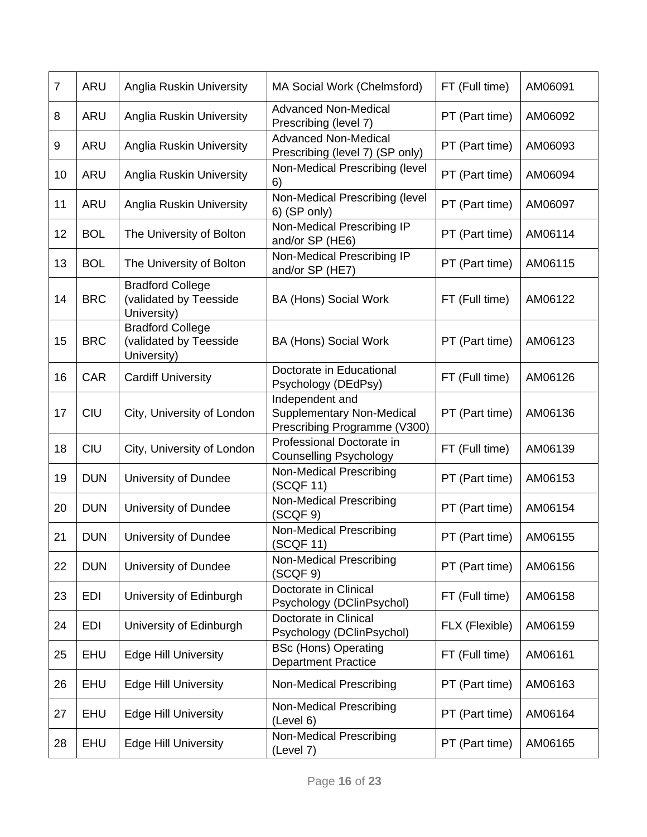| $\overline{7}$ | ARU        | Anglia Ruskin University                                         | MA Social Work (Chelmsford)                                                         | FT (Full time) | AM06091 |
|----------------|------------|------------------------------------------------------------------|-------------------------------------------------------------------------------------|----------------|---------|
| 8              | <b>ARU</b> | Anglia Ruskin University                                         | <b>Advanced Non-Medical</b><br>Prescribing (level 7)                                | PT (Part time) | AM06092 |
| 9              | ARU        | Anglia Ruskin University                                         | <b>Advanced Non-Medical</b><br>Prescribing (level 7) (SP only)                      | PT (Part time) | AM06093 |
| 10             | ARU        | <b>Anglia Ruskin University</b>                                  | Non-Medical Prescribing (level<br>6)                                                | PT (Part time) | AM06094 |
| 11             | ARU        | Anglia Ruskin University                                         | Non-Medical Prescribing (level<br>6) (SP only)                                      | PT (Part time) | AM06097 |
| 12             | <b>BOL</b> | The University of Bolton                                         | Non-Medical Prescribing IP<br>and/or SP (HE6)                                       | PT (Part time) | AM06114 |
| 13             | <b>BOL</b> | The University of Bolton                                         | Non-Medical Prescribing IP<br>and/or SP (HE7)                                       | PT (Part time) | AM06115 |
| 14             | <b>BRC</b> | <b>Bradford College</b><br>(validated by Teesside<br>University) | <b>BA (Hons) Social Work</b>                                                        | FT (Full time) | AM06122 |
| 15             | <b>BRC</b> | <b>Bradford College</b><br>(validated by Teesside<br>University) | <b>BA (Hons) Social Work</b>                                                        | PT (Part time) | AM06123 |
| 16             | CAR        | <b>Cardiff University</b>                                        | Doctorate in Educational<br>Psychology (DEdPsy)                                     | FT (Full time) | AM06126 |
| 17             | <b>CIU</b> | City, University of London                                       | Independent and<br><b>Supplementary Non-Medical</b><br>Prescribing Programme (V300) | PT (Part time) | AM06136 |
| 18             | <b>CIU</b> | City, University of London                                       | Professional Doctorate in<br><b>Counselling Psychology</b>                          | FT (Full time) | AM06139 |
| 19             | <b>DUN</b> | University of Dundee                                             | Non-Medical Prescribing<br>(SCQF 11)                                                | PT (Part time) | AM06153 |
| 20             | <b>DUN</b> | University of Dundee                                             | Non-Medical Prescribing<br>(SCQF 9)                                                 | PT (Part time) | AM06154 |
| 21             | <b>DUN</b> | University of Dundee                                             | Non-Medical Prescribing<br>(SCQF 11)                                                | PT (Part time) | AM06155 |
| 22             | <b>DUN</b> | University of Dundee                                             | Non-Medical Prescribing<br>(SCQF 9)                                                 | PT (Part time) | AM06156 |
| 23             | EDI        | University of Edinburgh                                          | Doctorate in Clinical<br>Psychology (DClinPsychol)                                  | FT (Full time) | AM06158 |
| 24             | EDI        | University of Edinburgh                                          | Doctorate in Clinical<br>Psychology (DClinPsychol)                                  | FLX (Flexible) | AM06159 |
| 25             | EHU        | <b>Edge Hill University</b>                                      | <b>BSc (Hons) Operating</b><br><b>Department Practice</b>                           | FT (Full time) | AM06161 |
| 26             | <b>EHU</b> | <b>Edge Hill University</b>                                      | Non-Medical Prescribing                                                             | PT (Part time) | AM06163 |
| 27             | <b>EHU</b> | <b>Edge Hill University</b>                                      | Non-Medical Prescribing<br>(Level 6)                                                | PT (Part time) | AM06164 |
| 28             | EHU        | <b>Edge Hill University</b>                                      | <b>Non-Medical Prescribing</b><br>(Level 7)                                         | PT (Part time) | AM06165 |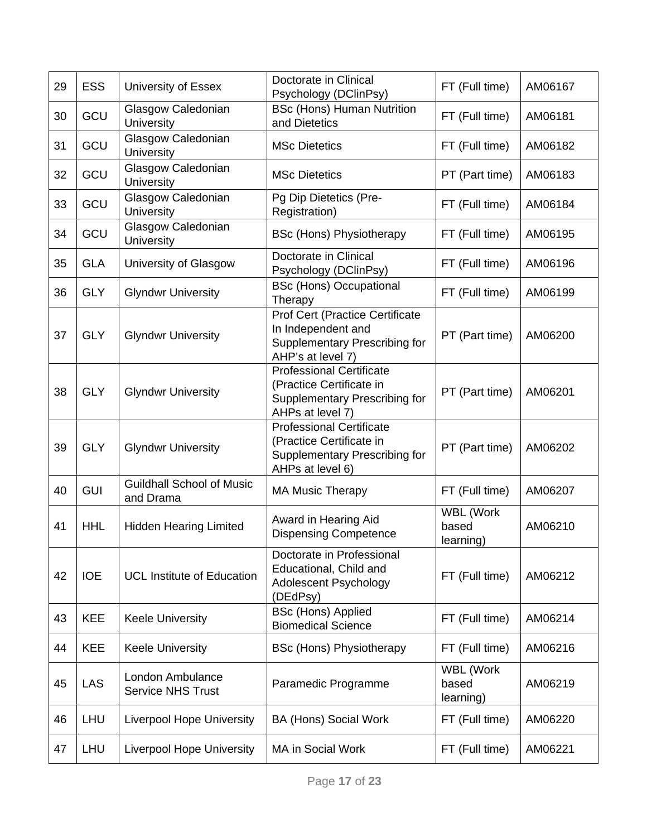| 29 | <b>ESS</b> | University of Essex                           | Doctorate in Clinical<br>Psychology (DClinPsy)                                                                     | FT (Full time)                         | AM06167 |
|----|------------|-----------------------------------------------|--------------------------------------------------------------------------------------------------------------------|----------------------------------------|---------|
| 30 | GCU        | Glasgow Caledonian<br>University              | <b>BSc (Hons) Human Nutrition</b><br>and Dietetics                                                                 | FT (Full time)                         | AM06181 |
| 31 | GCU        | Glasgow Caledonian<br>University              | <b>MSc Dietetics</b>                                                                                               | FT (Full time)                         | AM06182 |
| 32 | GCU        | Glasgow Caledonian<br>University              | <b>MSc Dietetics</b>                                                                                               | PT (Part time)                         | AM06183 |
| 33 | GCU        | Glasgow Caledonian<br>University              | Pg Dip Dietetics (Pre-<br>Registration)                                                                            | FT (Full time)                         | AM06184 |
| 34 | GCU        | Glasgow Caledonian<br>University              | <b>BSc (Hons) Physiotherapy</b>                                                                                    | FT (Full time)                         | AM06195 |
| 35 | <b>GLA</b> | University of Glasgow                         | Doctorate in Clinical<br>Psychology (DClinPsy)                                                                     | FT (Full time)                         | AM06196 |
| 36 | <b>GLY</b> | <b>Glyndwr University</b>                     | <b>BSc (Hons) Occupational</b><br>Therapy                                                                          | FT (Full time)                         | AM06199 |
| 37 | <b>GLY</b> | <b>Glyndwr University</b>                     | <b>Prof Cert (Practice Certificate</b><br>In Independent and<br>Supplementary Prescribing for<br>AHP's at level 7) | PT (Part time)                         | AM06200 |
| 38 | <b>GLY</b> | <b>Glyndwr University</b>                     | <b>Professional Certificate</b><br>(Practice Certificate in<br>Supplementary Prescribing for<br>AHPs at level 7)   | PT (Part time)                         | AM06201 |
| 39 | <b>GLY</b> | <b>Glyndwr University</b>                     | <b>Professional Certificate</b><br>(Practice Certificate in<br>Supplementary Prescribing for<br>AHPs at level 6)   | PT (Part time)                         | AM06202 |
| 40 | <b>GUI</b> | <b>Guildhall School of Music</b><br>and Drama | <b>MA Music Therapy</b>                                                                                            | FT (Full time)                         | AM06207 |
| 41 | <b>HHL</b> | <b>Hidden Hearing Limited</b>                 | Award in Hearing Aid<br><b>Dispensing Competence</b>                                                               | WBL (Work<br>based<br>learning)        | AM06210 |
| 42 | <b>IOE</b> | <b>UCL Institute of Education</b>             | Doctorate in Professional<br>Educational, Child and<br>Adolescent Psychology<br>(DEdPsy)                           | FT (Full time)                         | AM06212 |
| 43 | <b>KEE</b> | <b>Keele University</b>                       | <b>BSc (Hons) Applied</b><br><b>Biomedical Science</b>                                                             | FT (Full time)                         | AM06214 |
| 44 | <b>KEE</b> | <b>Keele University</b>                       | <b>BSc (Hons) Physiotherapy</b>                                                                                    | FT (Full time)                         | AM06216 |
| 45 | <b>LAS</b> | London Ambulance<br><b>Service NHS Trust</b>  | Paramedic Programme                                                                                                | <b>WBL (Work</b><br>based<br>learning) | AM06219 |
| 46 | LHU        | <b>Liverpool Hope University</b>              | <b>BA (Hons) Social Work</b>                                                                                       | FT (Full time)                         | AM06220 |
| 47 | LHU        | <b>Liverpool Hope University</b>              | MA in Social Work                                                                                                  | FT (Full time)                         | AM06221 |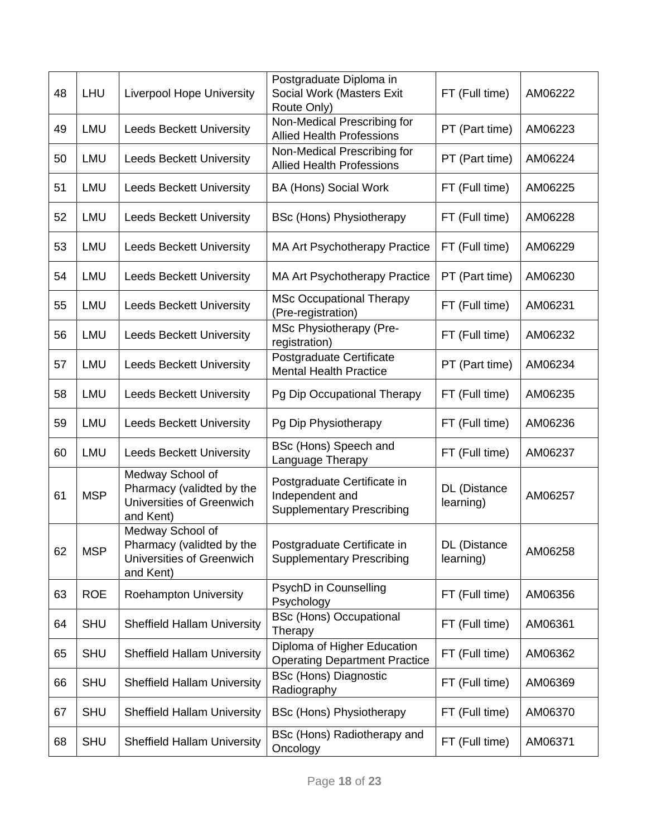| 48 | <b>LHU</b> | <b>Liverpool Hope University</b>                                                        | Postgraduate Diploma in<br>Social Work (Masters Exit<br>Route Only)                | FT (Full time)            | AM06222 |
|----|------------|-----------------------------------------------------------------------------------------|------------------------------------------------------------------------------------|---------------------------|---------|
| 49 | <b>LMU</b> | <b>Leeds Beckett University</b>                                                         | Non-Medical Prescribing for<br><b>Allied Health Professions</b>                    | PT (Part time)            | AM06223 |
| 50 | LMU        | <b>Leeds Beckett University</b>                                                         | Non-Medical Prescribing for<br><b>Allied Health Professions</b>                    | PT (Part time)            | AM06224 |
| 51 | LMU        | <b>Leeds Beckett University</b>                                                         | <b>BA (Hons) Social Work</b>                                                       | FT (Full time)            | AM06225 |
| 52 | LMU        | <b>Leeds Beckett University</b>                                                         | <b>BSc (Hons) Physiotherapy</b>                                                    | FT (Full time)            | AM06228 |
| 53 | LMU        | <b>Leeds Beckett University</b>                                                         | <b>MA Art Psychotherapy Practice</b>                                               | FT (Full time)            | AM06229 |
| 54 | LMU        | <b>Leeds Beckett University</b>                                                         | MA Art Psychotherapy Practice                                                      | PT (Part time)            | AM06230 |
| 55 | LMU        | <b>Leeds Beckett University</b>                                                         | <b>MSc Occupational Therapy</b><br>(Pre-registration)                              | FT (Full time)            | AM06231 |
| 56 | LMU        | <b>Leeds Beckett University</b>                                                         | MSc Physiotherapy (Pre-<br>registration)                                           | FT (Full time)            | AM06232 |
| 57 | LMU        | <b>Leeds Beckett University</b>                                                         | Postgraduate Certificate<br><b>Mental Health Practice</b>                          | PT (Part time)            | AM06234 |
| 58 | <b>LMU</b> | <b>Leeds Beckett University</b>                                                         | Pg Dip Occupational Therapy                                                        | FT (Full time)            | AM06235 |
| 59 | LMU        | <b>Leeds Beckett University</b>                                                         | Pg Dip Physiotherapy                                                               | FT (Full time)            | AM06236 |
| 60 | LMU        | <b>Leeds Beckett University</b>                                                         | BSc (Hons) Speech and<br>Language Therapy                                          | FT (Full time)            | AM06237 |
| 61 | <b>MSP</b> | Medway School of<br>Pharmacy (validted by the<br>Universities of Greenwich<br>and Kent) | Postgraduate Certificate in<br>Independent and<br><b>Supplementary Prescribing</b> | DL (Distance<br>learning) | AM06257 |
| 62 | <b>MSP</b> | Medway School of<br>Pharmacy (validted by the<br>Universities of Greenwich<br>and Kent) | Postgraduate Certificate in<br><b>Supplementary Prescribing</b>                    | DL (Distance<br>learning) | AM06258 |
| 63 | <b>ROE</b> | <b>Roehampton University</b>                                                            | PsychD in Counselling<br>Psychology                                                | FT (Full time)            | AM06356 |
| 64 | <b>SHU</b> | <b>Sheffield Hallam University</b>                                                      | <b>BSc (Hons) Occupational</b><br>Therapy                                          | FT (Full time)            | AM06361 |
| 65 | <b>SHU</b> | <b>Sheffield Hallam University</b>                                                      | Diploma of Higher Education<br><b>Operating Department Practice</b>                | FT (Full time)            | AM06362 |
| 66 | <b>SHU</b> | <b>Sheffield Hallam University</b>                                                      | <b>BSc (Hons) Diagnostic</b><br>Radiography                                        | FT (Full time)            | AM06369 |
| 67 | <b>SHU</b> | <b>Sheffield Hallam University</b>                                                      | <b>BSc (Hons) Physiotherapy</b>                                                    | FT (Full time)            | AM06370 |
| 68 | <b>SHU</b> | <b>Sheffield Hallam University</b>                                                      | BSc (Hons) Radiotherapy and<br>Oncology                                            | FT (Full time)            | AM06371 |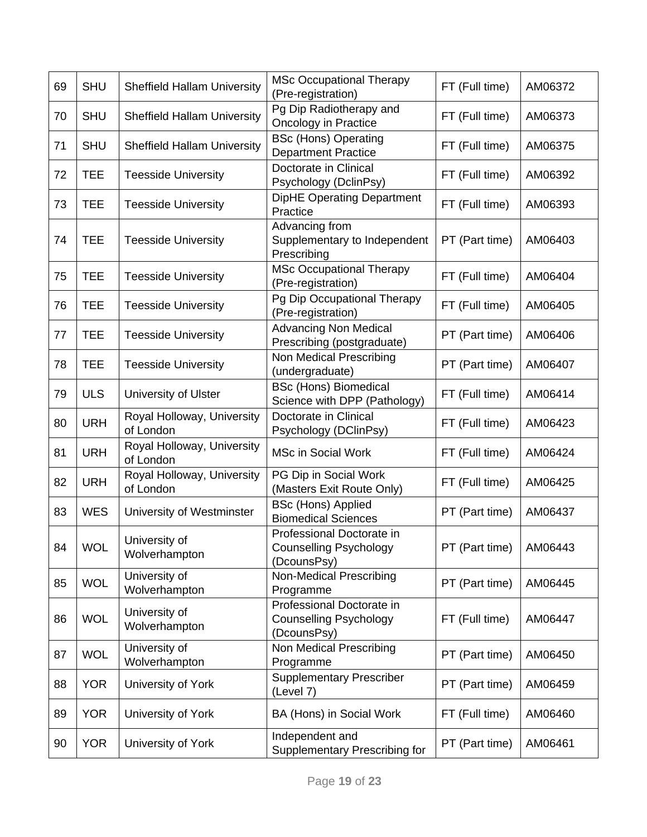| 69 | <b>SHU</b> | <b>Sheffield Hallam University</b>      | <b>MSc Occupational Therapy</b><br>(Pre-registration)                     | FT (Full time) | AM06372 |
|----|------------|-----------------------------------------|---------------------------------------------------------------------------|----------------|---------|
| 70 | <b>SHU</b> | <b>Sheffield Hallam University</b>      | Pg Dip Radiotherapy and<br>Oncology in Practice                           | FT (Full time) | AM06373 |
| 71 | <b>SHU</b> | <b>Sheffield Hallam University</b>      | <b>BSc (Hons) Operating</b><br><b>Department Practice</b>                 | FT (Full time) | AM06375 |
| 72 | <b>TEE</b> | <b>Teesside University</b>              | Doctorate in Clinical<br>Psychology (DclinPsy)                            | FT (Full time) | AM06392 |
| 73 | <b>TEE</b> | <b>Teesside University</b>              | <b>DipHE Operating Department</b><br>Practice                             | FT (Full time) | AM06393 |
| 74 | <b>TEE</b> | <b>Teesside University</b>              | Advancing from<br>Supplementary to Independent<br>Prescribing             | PT (Part time) | AM06403 |
| 75 | <b>TEE</b> | <b>Teesside University</b>              | <b>MSc Occupational Therapy</b><br>(Pre-registration)                     | FT (Full time) | AM06404 |
| 76 | <b>TEE</b> | <b>Teesside University</b>              | Pg Dip Occupational Therapy<br>(Pre-registration)                         | FT (Full time) | AM06405 |
| 77 | <b>TEE</b> | <b>Teesside University</b>              | <b>Advancing Non Medical</b><br>Prescribing (postgraduate)                | PT (Part time) | AM06406 |
| 78 | <b>TEE</b> | <b>Teesside University</b>              | Non Medical Prescribing<br>(undergraduate)                                | PT (Part time) | AM06407 |
| 79 | <b>ULS</b> | University of Ulster                    | <b>BSc (Hons) Biomedical</b><br>Science with DPP (Pathology)              | FT (Full time) | AM06414 |
| 80 | <b>URH</b> | Royal Holloway, University<br>of London | Doctorate in Clinical<br>Psychology (DClinPsy)                            | FT (Full time) | AM06423 |
| 81 | <b>URH</b> | Royal Holloway, University<br>of London | <b>MSc in Social Work</b>                                                 | FT (Full time) | AM06424 |
| 82 | <b>URH</b> | Royal Holloway, University<br>of London | PG Dip in Social Work<br>(Masters Exit Route Only)                        | FT (Full time) | AM06425 |
| 83 | <b>WES</b> | University of Westminster               | <b>BSc (Hons) Applied</b><br><b>Biomedical Sciences</b>                   | PT (Part time) | AM06437 |
| 84 | <b>WOL</b> | University of<br>Wolverhampton          | Professional Doctorate in<br>Counselling Psychology<br>(DcounsPsy)        | PT (Part time) | AM06443 |
| 85 | <b>WOL</b> | University of<br>Wolverhampton          | Non-Medical Prescribing<br>Programme                                      | PT (Part time) | AM06445 |
| 86 | <b>WOL</b> | University of<br>Wolverhampton          | Professional Doctorate in<br><b>Counselling Psychology</b><br>(DcounsPsy) | FT (Full time) | AM06447 |
| 87 | <b>WOL</b> | University of<br>Wolverhampton          | Non Medical Prescribing<br>Programme                                      | PT (Part time) | AM06450 |
| 88 | <b>YOR</b> | University of York                      | <b>Supplementary Prescriber</b><br>(Level 7)                              | PT (Part time) | AM06459 |
| 89 | <b>YOR</b> | University of York                      | BA (Hons) in Social Work                                                  | FT (Full time) | AM06460 |
| 90 | <b>YOR</b> | University of York                      | Independent and<br>Supplementary Prescribing for                          | PT (Part time) | AM06461 |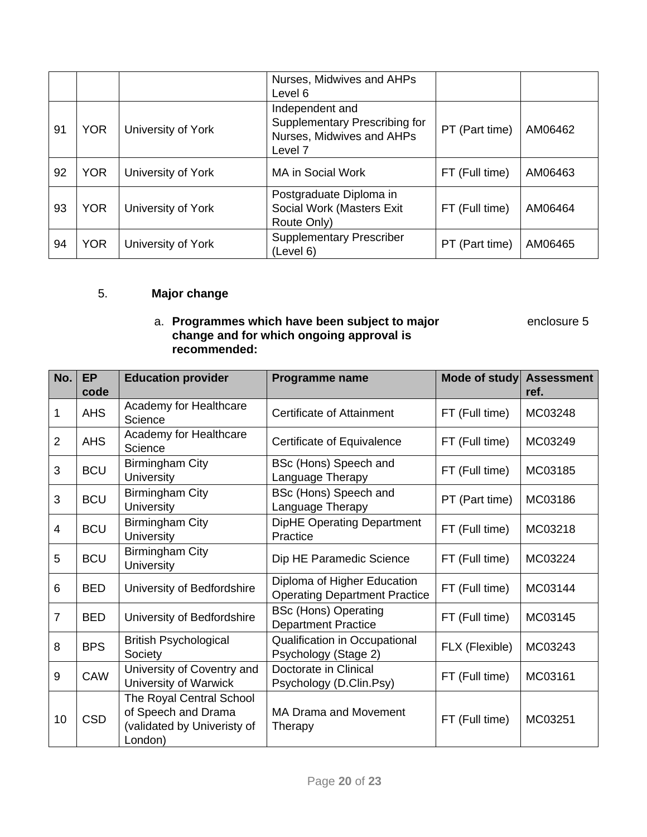|    |            |                    | Nurses, Midwives and AHPs<br>Level 6                                                                |                |         |
|----|------------|--------------------|-----------------------------------------------------------------------------------------------------|----------------|---------|
| 91 | <b>YOR</b> | University of York | Independent and<br>Supplementary Prescribing for<br>Nurses, Midwives and AHPs<br>Level <sub>7</sub> | PT (Part time) | AM06462 |
| 92 | <b>YOR</b> | University of York | MA in Social Work                                                                                   | FT (Full time) | AM06463 |
| 93 | <b>YOR</b> | University of York | Postgraduate Diploma in<br>Social Work (Masters Exit<br>Route Only)                                 | FT (Full time) | AM06464 |
| 94 | <b>YOR</b> | University of York | <b>Supplementary Prescriber</b><br>(Level 6)                                                        | PT (Part time) | AM06465 |

### 5. **Major change**

#### a. **Programmes which have been subject to major** enclosure 5 **change and for which ongoing approval is recommended:**

| No.            | <b>EP</b><br>code | <b>Education provider</b>                                                                 | Programme name                                                      | Mode of study  | <b>Assessment</b><br>ref. |
|----------------|-------------------|-------------------------------------------------------------------------------------------|---------------------------------------------------------------------|----------------|---------------------------|
| 1              | <b>AHS</b>        | Academy for Healthcare<br>Science                                                         | Certificate of Attainment                                           | FT (Full time) | MC03248                   |
| $\overline{2}$ | <b>AHS</b>        | Academy for Healthcare<br>Science                                                         | Certificate of Equivalence                                          | FT (Full time) | MC03249                   |
| 3              | <b>BCU</b>        | Birmingham City<br><b>University</b>                                                      | BSc (Hons) Speech and<br>Language Therapy                           | FT (Full time) | MC03185                   |
| 3              | <b>BCU</b>        | <b>Birmingham City</b><br><b>University</b>                                               | BSc (Hons) Speech and<br>Language Therapy                           | PT (Part time) | MC03186                   |
| $\overline{4}$ | <b>BCU</b>        | <b>Birmingham City</b><br><b>University</b>                                               | <b>DipHE Operating Department</b><br>Practice                       | FT (Full time) | MC03218                   |
| 5              | <b>BCU</b>        | <b>Birmingham City</b><br>University                                                      | Dip HE Paramedic Science                                            | FT (Full time) | MC03224                   |
| 6              | <b>BED</b>        | University of Bedfordshire                                                                | Diploma of Higher Education<br><b>Operating Department Practice</b> | FT (Full time) | MC03144                   |
| $\overline{7}$ | <b>BED</b>        | University of Bedfordshire                                                                | <b>BSc (Hons) Operating</b><br><b>Department Practice</b>           | FT (Full time) | MC03145                   |
| 8              | <b>BPS</b>        | <b>British Psychological</b><br>Society                                                   | Qualification in Occupational<br>Psychology (Stage 2)               | FLX (Flexible) | MC03243                   |
| 9              | CAW               | University of Coventry and<br>University of Warwick                                       | Doctorate in Clinical<br>Psychology (D.Clin.Psy)                    | FT (Full time) | MC03161                   |
| 10             | <b>CSD</b>        | The Royal Central School<br>of Speech and Drama<br>(validated by Univeristy of<br>London) | <b>MA Drama and Movement</b><br>Therapy                             | FT (Full time) | MC03251                   |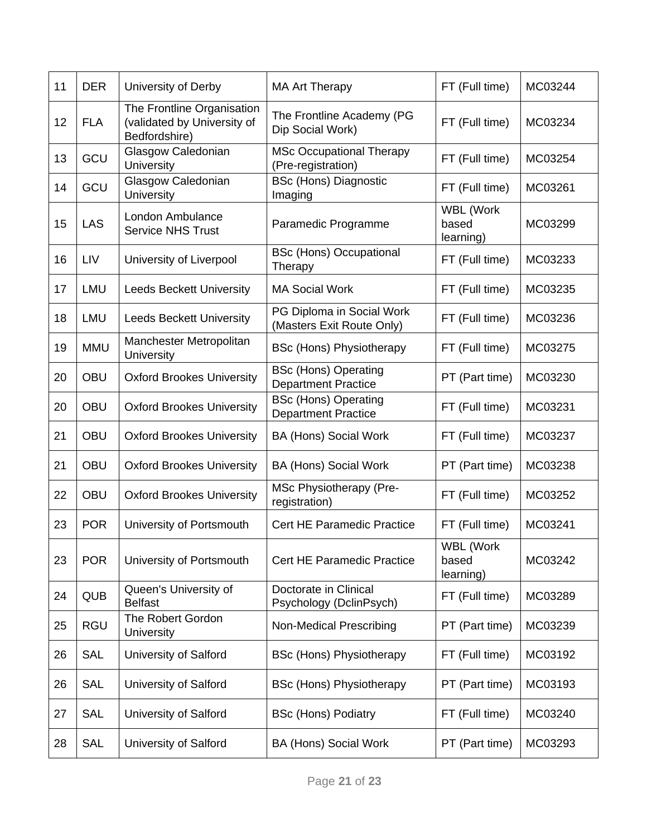| 11 | <b>DER</b> | University of Derby                                                        | <b>MA Art Therapy</b>                                     | FT (Full time)                  | MC03244 |
|----|------------|----------------------------------------------------------------------------|-----------------------------------------------------------|---------------------------------|---------|
| 12 | <b>FLA</b> | The Frontline Organisation<br>(validated by University of<br>Bedfordshire) | The Frontline Academy (PG<br>Dip Social Work)             | FT (Full time)                  | MC03234 |
| 13 | GCU        | Glasgow Caledonian<br>University                                           | <b>MSc Occupational Therapy</b><br>(Pre-registration)     | FT (Full time)                  | MC03254 |
| 14 | GCU        | Glasgow Caledonian<br>University                                           | <b>BSc (Hons) Diagnostic</b><br>Imaging                   | FT (Full time)                  | MC03261 |
| 15 | LAS        | London Ambulance<br><b>Service NHS Trust</b>                               | Paramedic Programme                                       | WBL (Work<br>based<br>learning) | MC03299 |
| 16 | LIV        | University of Liverpool                                                    | <b>BSc (Hons) Occupational</b><br>Therapy                 | FT (Full time)                  | MC03233 |
| 17 | LMU        | <b>Leeds Beckett University</b>                                            | <b>MA Social Work</b>                                     | FT (Full time)                  | MC03235 |
| 18 | LMU        | <b>Leeds Beckett University</b>                                            | PG Diploma in Social Work<br>(Masters Exit Route Only)    | FT (Full time)                  | MC03236 |
| 19 | <b>MMU</b> | Manchester Metropolitan<br>University                                      | <b>BSc (Hons) Physiotherapy</b>                           | FT (Full time)                  | MC03275 |
| 20 | <b>OBU</b> | <b>Oxford Brookes University</b>                                           | <b>BSc (Hons) Operating</b><br><b>Department Practice</b> | PT (Part time)                  | MC03230 |
| 20 | <b>OBU</b> | <b>Oxford Brookes University</b>                                           | <b>BSc (Hons) Operating</b><br><b>Department Practice</b> | FT (Full time)                  | MC03231 |
| 21 | <b>OBU</b> | <b>Oxford Brookes University</b>                                           | <b>BA (Hons) Social Work</b>                              | FT (Full time)                  | MC03237 |
| 21 | <b>OBU</b> | <b>Oxford Brookes University</b>                                           | <b>BA (Hons) Social Work</b>                              | PT (Part time)                  | MC03238 |
| 22 | <b>OBU</b> | <b>Oxford Brookes University</b>                                           | MSc Physiotherapy (Pre-<br>registration)                  | FT (Full time)                  | MC03252 |
| 23 | <b>POR</b> | University of Portsmouth                                                   | <b>Cert HE Paramedic Practice</b>                         | FT (Full time)                  | MC03241 |
| 23 | <b>POR</b> | University of Portsmouth                                                   | Cert HE Paramedic Practice                                | WBL (Work<br>based<br>learning) | MC03242 |
| 24 | <b>QUB</b> | Queen's University of<br><b>Belfast</b>                                    | Doctorate in Clinical<br>Psychology (DclinPsych)          | FT (Full time)                  | MC03289 |
| 25 | <b>RGU</b> | The Robert Gordon<br><b>University</b>                                     | <b>Non-Medical Prescribing</b>                            | PT (Part time)                  | MC03239 |
| 26 | <b>SAL</b> | University of Salford                                                      | <b>BSc (Hons) Physiotherapy</b>                           | FT (Full time)                  | MC03192 |
| 26 | <b>SAL</b> | University of Salford                                                      | <b>BSc (Hons) Physiotherapy</b>                           | PT (Part time)                  | MC03193 |
| 27 | <b>SAL</b> | University of Salford                                                      | <b>BSc (Hons) Podiatry</b>                                | FT (Full time)                  | MC03240 |
| 28 | <b>SAL</b> | University of Salford                                                      | <b>BA (Hons) Social Work</b>                              | PT (Part time)                  | MC03293 |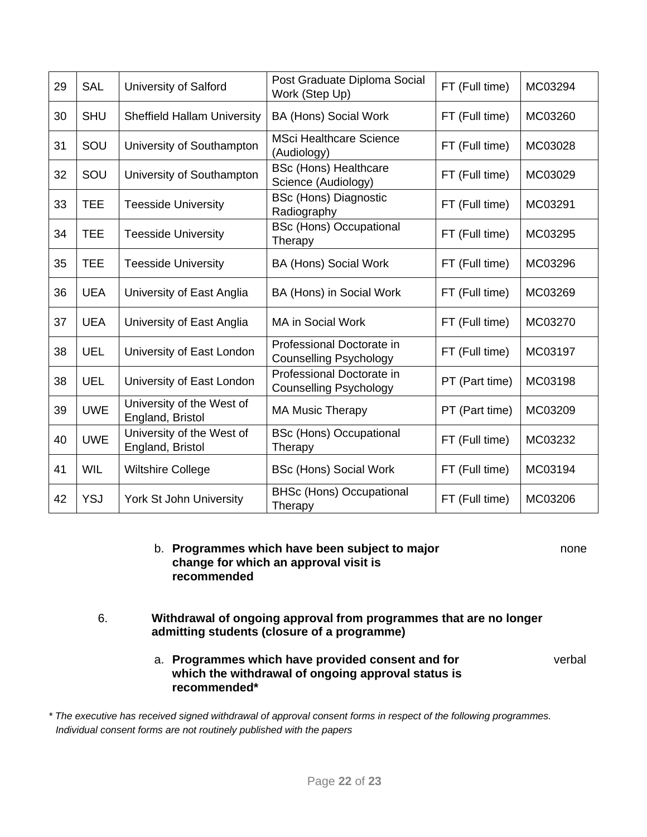| 29 | <b>SAL</b> | University of Salford                         | Post Graduate Diploma Social<br>Work (Step Up)             | FT (Full time) | MC03294 |
|----|------------|-----------------------------------------------|------------------------------------------------------------|----------------|---------|
| 30 | <b>SHU</b> | <b>Sheffield Hallam University</b>            | <b>BA (Hons) Social Work</b>                               | FT (Full time) | MC03260 |
| 31 | SOU        | University of Southampton                     | <b>MSci Healthcare Science</b><br>(Audiology)              | FT (Full time) | MC03028 |
| 32 | SOU        | University of Southampton                     | <b>BSc (Hons) Healthcare</b><br>Science (Audiology)        | FT (Full time) | MC03029 |
| 33 | <b>TEE</b> | <b>Teesside University</b>                    | <b>BSc (Hons) Diagnostic</b><br>Radiography                | FT (Full time) | MC03291 |
| 34 | <b>TEE</b> | <b>Teesside University</b>                    | <b>BSc (Hons) Occupational</b><br>Therapy                  | FT (Full time) | MC03295 |
| 35 | <b>TEE</b> | <b>Teesside University</b>                    | <b>BA (Hons) Social Work</b>                               | FT (Full time) | MC03296 |
| 36 | <b>UEA</b> | University of East Anglia                     | BA (Hons) in Social Work                                   | FT (Full time) | MC03269 |
| 37 | <b>UEA</b> | University of East Anglia                     | <b>MA in Social Work</b>                                   | FT (Full time) | MC03270 |
| 38 | <b>UEL</b> | University of East London                     | Professional Doctorate in<br><b>Counselling Psychology</b> | FT (Full time) | MC03197 |
| 38 | <b>UEL</b> | University of East London                     | Professional Doctorate in<br><b>Counselling Psychology</b> | PT (Part time) | MC03198 |
| 39 | <b>UWE</b> | University of the West of<br>England, Bristol | <b>MA Music Therapy</b>                                    | PT (Part time) | MC03209 |
| 40 | <b>UWE</b> | University of the West of<br>England, Bristol | <b>BSc (Hons) Occupational</b><br>Therapy                  | FT (Full time) | MC03232 |
| 41 | <b>WIL</b> | <b>Wiltshire College</b>                      | <b>BSc (Hons) Social Work</b>                              | FT (Full time) | MC03194 |
| 42 | <b>YSJ</b> | York St John University                       | <b>BHSc (Hons) Occupational</b><br>Therapy                 | FT (Full time) | MC03206 |

- b. **Programmes which have been subject to major** none **change for which an approval visit is recommended**
- 6. **Withdrawal of ongoing approval from programmes that are no longer admitting students (closure of a programme)** 
	- a. **Programmes which have provided consent and for** verbal **which the withdrawal of ongoing approval status is recommended\***

*\* The executive has received signed withdrawal of approval consent forms in respect of the following programmes. Individual consent forms are not routinely published with the papers*